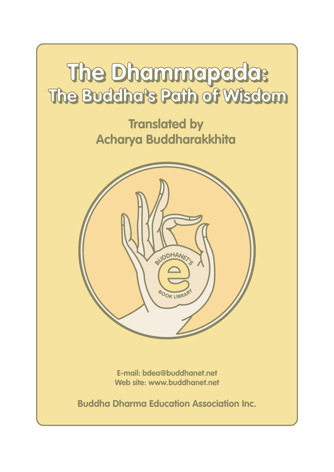# **The Dhammapada: The Dhammapada: The Buddha's Path of Wisdom The Buddha's Path of Wisdom**

**Translated by Acharya Buddharakkhita**



**E-mail: bdea@buddhanet.net Web site: www.buddhanet.net**

**Buddha Dharma Education Association Inc.**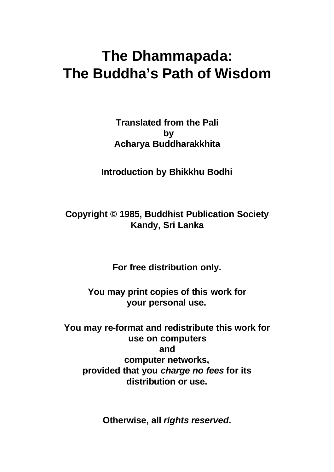### **The Dhammapada: The Buddha's Path of Wisdom**

**Translated from the Pali by Acharya Buddharakkhita**

**Introduction by Bhikkhu Bodhi**

**Copyright © 1985, Buddhist Publication Society Kandy, Sri Lanka**

**For free distribution only.**

**You may print copies of this work for your personal use.**

**You may re-format and redistribute this work for use on computers and computer networks, provided that you** *charge no fees* **for its distribution or use.**

**Otherwise, all** *rights reserved***.**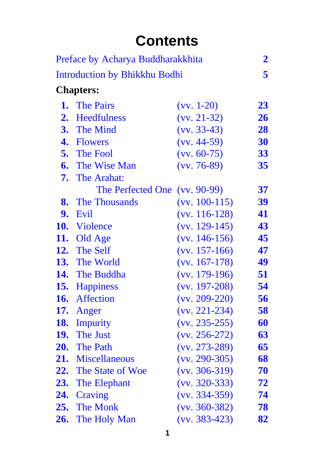### **Contents**

| Preface by Acharya Buddharakkhita<br><b>Introduction by Bhikkhu Bodhi</b> |                         |                 | $\boldsymbol{2}$ |
|---------------------------------------------------------------------------|-------------------------|-----------------|------------------|
|                                                                           |                         |                 | 5                |
| <b>Chapters:</b>                                                          |                         |                 |                  |
|                                                                           | <b>1.</b> The Pairs     | $(vv. 1-20)$    | 23               |
|                                                                           | 2. Heedfulness          | $(vv. 21-32)$   | 26               |
|                                                                           | <b>3.</b> The Mind      | $(vv. 33-43)$   | 28               |
|                                                                           | 4. Flowers              | $(vv. 44-59)$   | 30               |
|                                                                           | <b>5.</b> The Fool      | $(vv. 60-75)$   | 33               |
|                                                                           | <b>6.</b> The Wise Man  | $(vv. 76-89)$   | 35               |
|                                                                           | <b>7.</b> The Arahat:   |                 |                  |
|                                                                           | The Perfected One       | $(vv. 90-99)$   | <b>37</b>        |
|                                                                           | <b>8.</b> The Thousands | $(vv. 100-115)$ | 39               |
| 9.                                                                        | Evil                    | $(vv. 116-128)$ | 41               |
|                                                                           | 10. Violence            | $(vv. 129-145)$ | 43               |
|                                                                           | 11. Old Age             | $(vv. 146-156)$ | 45               |
|                                                                           | 12. The Self            | $(vv. 157-166)$ | 47               |
|                                                                           | <b>13.</b> The World    | $(vv. 167-178)$ | 49               |
|                                                                           | <b>14.</b> The Buddha   | $(vv. 179-196)$ | 51               |
|                                                                           | 15. Happiness           | $(vv. 197-208)$ | 54               |
|                                                                           | 16. Affection           | $(vv. 209-220)$ | 56               |
| 17.                                                                       | Anger                   | $(vv. 221-234)$ | 58               |
| 18.                                                                       | <b>Impurity</b>         | $(vv. 235-255)$ | 60               |
| <b>19.</b>                                                                | <b>The Just</b>         | $(vv. 256-272)$ | 63               |
| 20.                                                                       | <b>The Path</b>         | $(vv. 273-289)$ | 65               |
| 21.                                                                       | <b>Miscellaneous</b>    | $(vv. 290-305)$ | 68               |
| 22.                                                                       | The State of Woe        | $(vv. 306-319)$ | 70               |
| 23.                                                                       | The Elephant            | $(vv. 320-333)$ | 72               |
| 24.                                                                       | Craving                 | $(vv. 334-359)$ | 74               |
| 25.                                                                       | <b>The Monk</b>         | $(vv. 360-382)$ | 78               |
| 26.                                                                       | The Holy Man            | $(vv. 383-423)$ | 82               |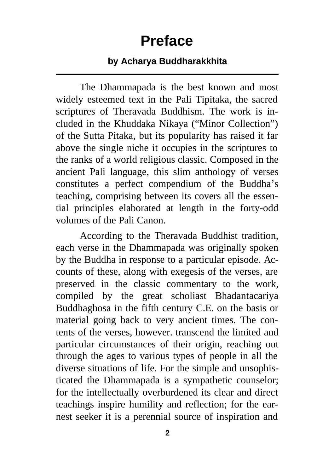### **Preface**

#### **by Acharya Buddharakkhita**

<span id="page-3-0"></span>The Dhammapada is the best known and most widely esteemed text in the Pali Tipitaka, the sacred scriptures of Theravada Buddhism. The work is included in the Khuddaka Nikaya ("Minor Collection") of the Sutta Pitaka, but its popularity has raised it far above the single niche it occupies in the scriptures to the ranks of a world religious classic. Composed in the ancient Pali language, this slim anthology of verses constitutes a perfect compendium of the Buddha's teaching, comprising between its covers all the essential principles elaborated at length in the forty-odd volumes of the Pali Canon.

According to the Theravada Buddhist tradition, each verse in the Dhammapada was originally spoken by the Buddha in response to a particular episode. Accounts of these, along with exegesis of the verses, are preserved in the classic commentary to the work, compiled by the great scholiast Bhadantacariya Buddhaghosa in the fifth century C.E. on the basis or material going back to very ancient times. The contents of the verses, however. transcend the limited and particular circumstances of their origin, reaching out through the ages to various types of people in all the diverse situations of life. For the simple and unsophisticated the Dhammapada is a sympathetic counselor; for the intellectually overburdened its clear and direct teachings inspire humility and reflection; for the earnest seeker it is a perennial source of inspiration and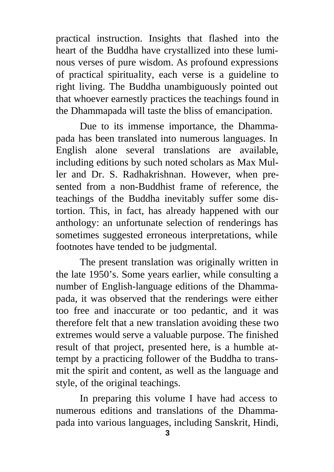practical instruction. Insights that flashed into the heart of the Buddha have crystallized into these luminous verses of pure wisdom. As profound expressions of practical spirituality, each verse is a guideline to right living. The Buddha unambiguously pointed out that whoever earnestly practices the teachings found in the Dhammapada will taste the bliss of emancipation.

Due to its immense importance, the Dhammapada has been translated into numerous languages. In English alone several translations are available, including editions by such noted scholars as Max Muller and Dr. S. Radhakrishnan. However, when presented from a non-Buddhist frame of reference, the teachings of the Buddha inevitably suffer some distortion. This, in fact, has already happened with our anthology: an unfortunate selection of renderings has sometimes suggested erroneous interpretations, while footnotes have tended to be judgmental.

The present translation was originally written in the late 1950's. Some years earlier, while consulting a number of English-language editions of the Dhammapada, it was observed that the renderings were either too free and inaccurate or too pedantic, and it was therefore felt that a new translation avoiding these two extremes would serve a valuable purpose. The finished result of that project, presented here, is a humble attempt by a practicing follower of the Buddha to transmit the spirit and content, as well as the language and style, of the original teachings.

In preparing this volume I have had access to numerous editions and translations of the Dhammapada into various languages, including Sanskrit, Hindi,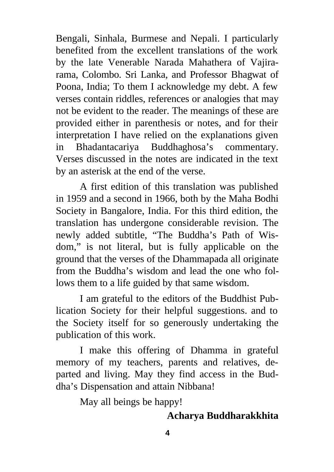Bengali, Sinhala, Burmese and Nepali. I particularly benefited from the excellent translations of the work by the late Venerable Narada Mahathera of Vajirarama, Colombo. Sri Lanka, and Professor Bhagwat of Poona, India; To them I acknowledge my debt. A few verses contain riddles, references or analogies that may not be evident to the reader. The meanings of these are provided either in parenthesis or notes, and for their interpretation I have relied on the explanations given in Bhadantacariya Buddhaghosa's commentary. Verses discussed in the notes are indicated in the text by an asterisk at the end of the verse.

A first edition of this translation was published in 1959 and a second in 1966, both by the Maha Bodhi Society in Bangalore, India. For this third edition, the translation has undergone considerable revision. The newly added subtitle, "The Buddha's Path of Wisdom," is not literal, but is fully applicable on the ground that the verses of the Dhammapada all originate from the Buddha's wisdom and lead the one who follows them to a life guided by that same wisdom.

I am grateful to the editors of the Buddhist Publication Society for their helpful suggestions. and to the Society itself for so generously undertaking the publication of this work.

I make this offering of Dhamma in grateful memory of my teachers, parents and relatives, departed and living. May they find access in the Buddha's Dispensation and attain Nibbana!

May all beings be happy!

### **Acharya Buddharakkhita**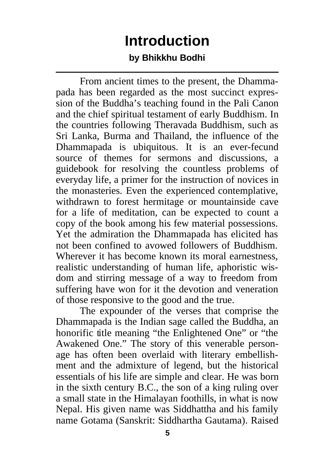## **Introduction**

#### **by Bhikkhu Bodhi**

<span id="page-6-0"></span>From ancient times to the present, the Dhammapada has been regarded as the most succinct expression of the Buddha's teaching found in the Pali Canon and the chief spiritual testament of early Buddhism. In the countries following Theravada Buddhism, such as Sri Lanka, Burma and Thailand, the influence of the Dhammapada is ubiquitous. It is an ever-fecund source of themes for sermons and discussions, a guidebook for resolving the countless problems of everyday life, a primer for the instruction of novices in the monasteries. Even the experienced contemplative, withdrawn to forest hermitage or mountainside cave for a life of meditation, can be expected to count a copy of the book among his few material possessions. Yet the admiration the Dhammapada has elicited has not been confined to avowed followers of Buddhism. Wherever it has become known its moral earnestness, realistic understanding of human life, aphoristic wisdom and stirring message of a way to freedom from suffering have won for it the devotion and veneration of those responsive to the good and the true.

The expounder of the verses that comprise the Dhammapada is the Indian sage called the Buddha, an honorific title meaning "the Enlightened One" or "the Awakened One." The story of this venerable personage has often been overlaid with literary embellishment and the admixture of legend, but the historical essentials of his life are simple and clear. He was born in the sixth century B.C., the son of a king ruling over a small state in the Himalayan foothills, in what is now Nepal. His given name was Siddhattha and his family name Gotama (Sanskrit: Siddhartha Gautama). Raised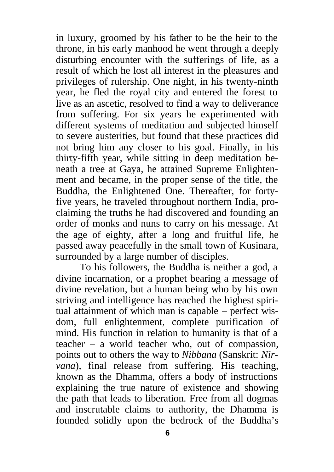in luxury, groomed by his father to be the heir to the throne, in his early manhood he went through a deeply disturbing encounter with the sufferings of life, as a result of which he lost all interest in the pleasures and privileges of rulership. One night, in his twenty-ninth year, he fled the royal city and entered the forest to live as an ascetic, resolved to find a way to deliverance from suffering. For six years he experimented with different systems of meditation and subjected himself to severe austerities, but found that these practices did not bring him any closer to his goal. Finally, in his thirty-fifth year, while sitting in deep meditation beneath a tree at Gaya, he attained Supreme Enlightenment and became, in the proper sense of the title, the Buddha, the Enlightened One. Thereafter, for fortyfive years, he traveled throughout northern India, proclaiming the truths he had discovered and founding an order of monks and nuns to carry on his message. At the age of eighty, after a long and fruitful life, he passed away peacefully in the small town of Kusinara, surrounded by a large number of disciples.

To his followers, the Buddha is neither a god, a divine incarnation, or a prophet bearing a message of divine revelation, but a human being who by his own striving and intelligence has reached the highest spiritual attainment of which man is capable – perfect wisdom, full enlightenment, complete purification of mind. His function in relation to humanity is that of a teacher – a world teacher who, out of compassion, points out to others the way to *Nibbana* (Sanskrit: *Nirvana*), final release from suffering. His teaching, known as the Dhamma, offers a body of instructions explaining the true nature of existence and showing the path that leads to liberation. Free from all dogmas and inscrutable claims to authority, the Dhamma is founded solidly upon the bedrock of the Buddha's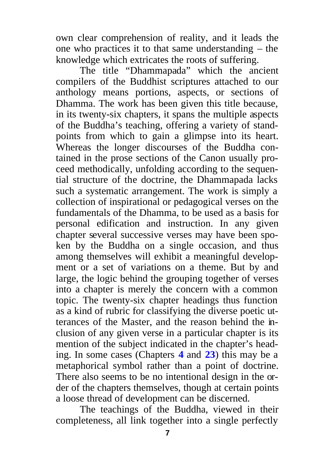own clear comprehension of reality, and it leads the one who practices it to that same understanding – the knowledge which extricates the roots of suffering.

The title "Dhammapada" which the ancient compilers of the Buddhist scriptures attached to our anthology means portions, aspects, or sections of Dhamma. The work has been given this title because, in its twenty-six chapters, it spans the multiple aspects of the Buddha's teaching, offering a variety of standpoints from which to gain a glimpse into its heart. Whereas the longer discourses of the Buddha contained in the prose sections of the Canon usually proceed methodically, unfolding according to the sequential structure of the doctrine, the Dhammapada lacks such a systematic arrangement. The work is simply a collection of inspirational or pedagogical verses on the fundamentals of the Dhamma, to be used as a basis for personal edification and instruction. In any given chapter several successive verses may have been spoken by the Buddha on a single occasion, and thus among themselves will exhibit a meaningful development or a set of variations on a theme. But by and large, the logic behind the grouping together of verses into a chapter is merely the concern with a common topic. The twenty-six chapter headings thus function as a kind of rubric for classifying the diverse poetic utterances of the Master, and the reason behind the inclusion of any given verse in a particular chapter is its mention of the subject indicated in the chapter's heading. In some cases (Chapters **[4](#page-31-0)** and **[23](#page-73-0)**) this may be a metaphorical symbol rather than a point of doctrine. There also seems to be no intentional design in the order of the chapters themselves, though at certain points a loose thread of development can be discerned.

The teachings of the Buddha, viewed in their completeness, all link together into a single perfectly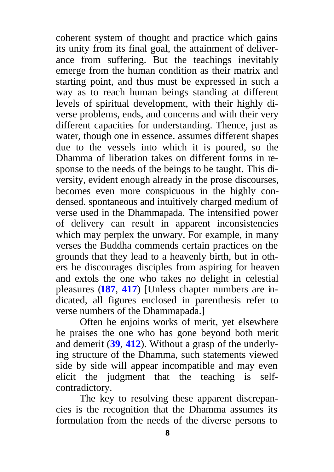coherent system of thought and practice which gains its unity from its final goal, the attainment of deliverance from suffering. But the teachings inevitably emerge from the human condition as their matrix and starting point, and thus must be expressed in such a way as to reach human beings standing at different levels of spiritual development, with their highly diverse problems, ends, and concerns and with their very different capacities for understanding. Thence, just as water, though one in essence. assumes different shapes due to the vessels into which it is poured, so the Dhamma of liberation takes on different forms in response to the needs of the beings to be taught. This diversity, evident enough already in the prose discourses, becomes even more conspicuous in the highly condensed. spontaneous and intuitively charged medium of verse used in the Dhammapada. The intensified power of delivery can result in apparent inconsistencies which may perplex the unwary. For example, in many verses the Buddha commends certain practices on the grounds that they lead to a heavenly birth, but in others he discourages disciples from aspiring for heaven and extols the one who takes no delight in celestial pleasures (**[187](#page-53-0)**, **[417](#page-88-0)**) [Unless chapter numbers are indicated, all figures enclosed in parenthesis refer to verse numbers of the Dhammapada.]

Often he enjoins works of merit, yet elsewhere he praises the one who has gone beyond both merit and demerit (**[39](#page-29-0)**, **[412](#page-87-0)**). Without a grasp of the underlying structure of the Dhamma, such statements viewed side by side will appear incompatible and may even elicit the judgment that the teaching is selfcontradictory.

The key to resolving these apparent discrepancies is the recognition that the Dhamma assumes its formulation from the needs of the diverse persons to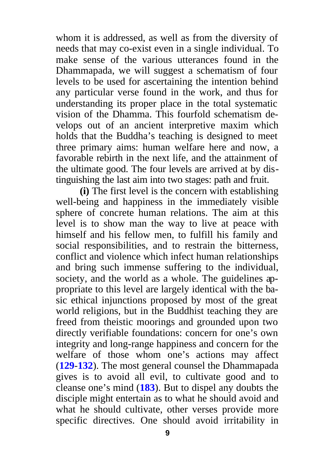whom it is addressed, as well as from the diversity of needs that may co-exist even in a single individual. To make sense of the various utterances found in the Dhammapada, we will suggest a schematism of four levels to be used for ascertaining the intention behind any particular verse found in the work, and thus for understanding its proper place in the total systematic vision of the Dhamma. This fourfold schematism develops out of an ancient interpretive maxim which holds that the Buddha's teaching is designed to meet three primary aims: human welfare here and now, a favorable rebirth in the next life, and the attainment of the ultimate good. The four levels are arrived at by distinguishing the last aim into two stages: path and fruit.

**(i)** The first level is the concern with establishing well-being and happiness in the immediately visible sphere of concrete human relations. The aim at this level is to show man the way to live at peace with himself and his fellow men, to fulfill his family and social responsibilities, and to restrain the bitterness, conflict and violence which infect human relationships and bring such immense suffering to the individual, society, and the world as a whole. The guidelines appropriate to this level are largely identical with the basic ethical injunctions proposed by most of the great world religions, but in the Buddhist teaching they are freed from theistic moorings and grounded upon two directly verifiable foundations: concern for one's own integrity and long-range happiness and concern for the welfare of those whom one's actions may affect (**[129](#page-44-0)**-**132**). The most general counsel the Dhammapada gives is to avoid all evil, to cultivate good and to cleanse one's mind (**[183](#page-52-0)**). But to dispel any doubts the disciple might entertain as to what he should avoid and what he should cultivate, other verses provide more specific directives. One should avoid irritability in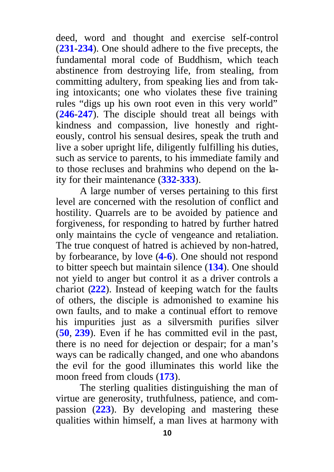deed, word and thought and exercise self-control (**[231](#page-60-0)**-**234**). One should adhere to the five precepts, the fundamental moral code of Buddhism, which teach abstinence from destroying life, from stealing, from committing adultery, from speaking lies and from taking intoxicants; one who violates these five training rules "digs up his own root even in this very world" (**[246](#page-62-0)**-**247**). The disciple should treat all beings with kindness and compassion, live honestly and righteously, control his sensual desires, speak the truth and live a sober upright life, diligently fulfilling his duties, such as service to parents, to his immediate family and to those recluses and brahmins who depend on the laity for their maintenance (**[332](#page-74-0)**-**333**).

A large number of verses pertaining to this first level are concerned with the resolution of conflict and hostility. Quarrels are to be avoided by patience and forgiveness, for responding to hatred by further hatred only maintains the cycle of vengeance and retaliation. The true conquest of hatred is achieved by non-hatred, by forbearance, by love (**[4](#page-24-0)**-**6**). One should not respond to bitter speech but maintain silence (**[134](#page-44-0)**). One should not yield to anger but control it as a driver controls a chariot (**[222](#page-59-0)**). Instead of keeping watch for the faults of others, the disciple is admonished to examine his own faults, and to make a continual effort to remove his impurities just as a silversmith purifies silver (**[50](#page-32-0)**, **[239](#page-61-0)**). Even if he has committed evil in the past, there is no need for dejection or despair; for a man's ways can be radically changed, and one who abandons the evil for the good illuminates this world like the moon freed from clouds (**[173](#page-50-0)**).

The sterling qualities distinguishing the man of virtue are generosity, truthfulness, patience, and compassion (**[223](#page-59-0)**). By developing and mastering these qualities within himself, a man lives at harmony with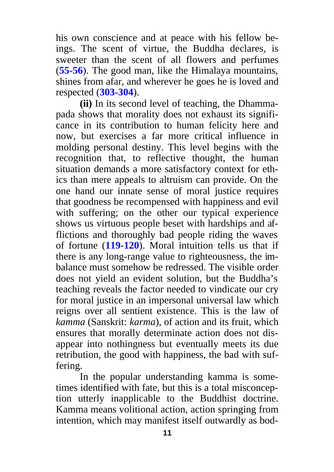his own conscience and at peace with his fellow beings. The scent of virtue, the Buddha declares, is sweeter than the scent of all flowers and perfumes (**[55](#page-32-0)**-**56**). The good man, like the Himalaya mountains, shines from afar, and wherever he goes he is loved and respected (**[303](#page-70-0)**-**304**).

**(ii)** In its second level of teaching, the Dhammapada shows that morality does not exhaust its significance in its contribution to human felicity here and now, but exercises a far more critical influence in molding personal destiny. This level begins with the recognition that, to reflective thought, the human situation demands a more satisfactory context for ethics than mere appeals to altruism can provide. On the one hand our innate sense of moral justice requires that goodness be recompensed with happiness and evil with suffering; on the other our typical experience shows us virtuous people beset with hardships and afflictions and thoroughly bad people riding the waves of fortune (**[119](#page-42-0)**-**120**). Moral intuition tells us that if there is any long-range value to righteousness, the imbalance must somehow be redressed. The visible order does not yield an evident solution, but the Buddha's teaching reveals the factor needed to vindicate our cry for moral justice in an impersonal universal law which reigns over all sentient existence. This is the law of *kamma* (Sanskrit: *karma*), of action and its fruit, which ensures that morally determinate action does not disappear into nothingness but eventually meets its due retribution, the good with happiness, the bad with suffering.

In the popular understanding kamma is sometimes identified with fate, but this is a total misconception utterly inapplicable to the Buddhist doctrine. Kamma means volitional action, action springing from intention, which may manifest itself outwardly as bod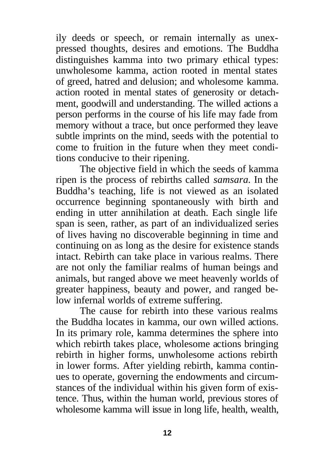ily deeds or speech, or remain internally as unexpressed thoughts, desires and emotions. The Buddha distinguishes kamma into two primary ethical types: unwholesome kamma, action rooted in mental states of greed, hatred and delusion; and wholesome kamma. action rooted in mental states of generosity or detachment, goodwill and understanding. The willed actions a person performs in the course of his life may fade from memory without a trace, but once performed they leave subtle imprints on the mind, seeds with the potential to come to fruition in the future when they meet conditions conducive to their ripening.

The objective field in which the seeds of kamma ripen is the process of rebirths called *samsara.* In the Buddha's teaching, life is not viewed as an isolated occurrence beginning spontaneously with birth and ending in utter annihilation at death. Each single life span is seen, rather, as part of an individualized series of lives having no discoverable beginning in time and continuing on as long as the desire for existence stands intact. Rebirth can take place in various realms. There are not only the familiar realms of human beings and animals, but ranged above we meet heavenly worlds of greater happiness, beauty and power, and ranged below infernal worlds of extreme suffering.

The cause for rebirth into these various realms the Buddha locates in kamma, our own willed actions. In its primary role, kamma determines the sphere into which rebirth takes place, wholesome actions bringing rebirth in higher forms, unwholesome actions rebirth in lower forms. After yielding rebirth, kamma continues to operate, governing the endowments and circumstances of the individual within his given form of existence. Thus, within the human world, previous stores of wholesome kamma will issue in long life, health, wealth,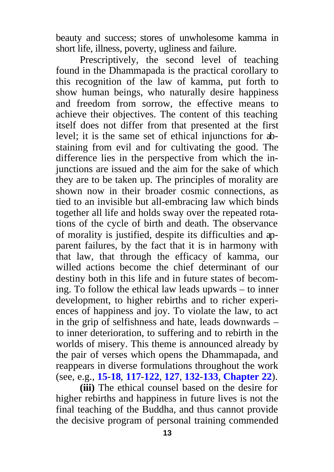beauty and success; stores of unwholesome kamma in short life, illness, poverty, ugliness and failure.

Prescriptively, the second level of teaching found in the Dhammapada is the practical corollary to this recognition of the law of kamma, put forth to show human beings, who naturally desire happiness and freedom from sorrow, the effective means to achieve their objectives. The content of this teaching itself does not differ from that presented at the first level; it is the same set of ethical injunctions for abstaining from evil and for cultivating the good. The difference lies in the perspective from which the injunctions are issued and the aim for the sake of which they are to be taken up. The principles of morality are shown now in their broader cosmic connections, as tied to an invisible but all-embracing law which binds together all life and holds sway over the repeated rotations of the cycle of birth and death. The observance of morality is justified, despite its difficulties and apparent failures, by the fact that it is in harmony with that law, that through the efficacy of kamma, our willed actions become the chief determinant of our destiny both in this life and in future states of becoming. To follow the ethical law leads upwards – to inner development, to higher rebirths and to richer experiences of happiness and joy. To violate the law, to act in the grip of selfishness and hate, leads downwards – to inner deterioration, to suffering and to rebirth in the worlds of misery. This theme is announced already by the pair of verses which opens the Dhammapada, and reappears in diverse formulations throughout the work (see, e.g., **[15](#page-26-0)**-**18**, **[117](#page-42-0)**-**122**, **[127](#page-43-0)**, **132**-**[133](#page-44-0)**, **[Chapter](#page-71-0) 22**).

**(iii)** The ethical counsel based on the desire for higher rebirths and happiness in future lives is not the final teaching of the Buddha, and thus cannot provide the decisive program of personal training commended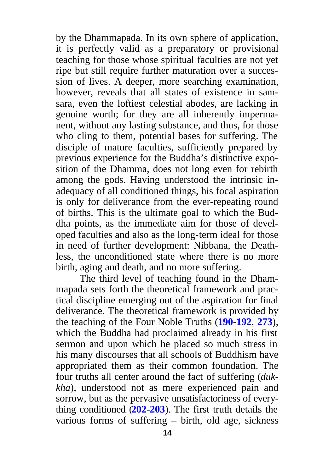by the Dhammapada. In its own sphere of application, it is perfectly valid as a preparatory or provisional teaching for those whose spiritual faculties are not yet ripe but still require further maturation over a succession of lives. A deeper, more searching examination, however, reveals that all states of existence in samsara, even the loftiest celestial abodes, are lacking in genuine worth; for they are all inherently impermanent, without any lasting substance, and thus, for those who cling to them, potential bases for suffering. The disciple of mature faculties, sufficiently prepared by previous experience for the Buddha's distinctive exposition of the Dhamma, does not long even for rebirth among the gods. Having understood the intrinsic inadequacy of all conditioned things, his focal aspiration is only for deliverance from the ever-repeating round of births. This is the ultimate goal to which the Buddha points, as the immediate aim for those of developed faculties and also as the long-term ideal for those in need of further development: Nibbana, the Deathless, the unconditioned state where there is no more birth, aging and death, and no more suffering.

The third level of teaching found in the Dhammapada sets forth the theoretical framework and practical discipline emerging out of the aspiration for final deliverance. The theoretical framework is provided by the teaching of the Four Noble Truths (**[190](#page-53-0)**-**192**, **[273](#page-66-0)**), which the Buddha had proclaimed already in his first sermon and upon which he placed so much stress in his many discourses that all schools of Buddhism have appropriated them as their common foundation. The four truths all center around the fact of suffering (*dukkha*), understood not as mere experienced pain and sorrow, but as the pervasive unsatisfactoriness of everything conditioned (**[202](#page-55-0)**-**203**). The first truth details the various forms of suffering – birth, old age, sickness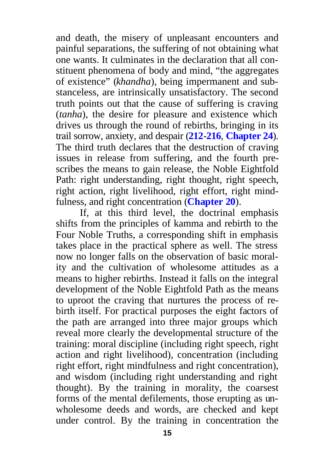and death, the misery of unpleasant encounters and painful separations, the suffering of not obtaining what one wants. It culminates in the declaration that all constituent phenomena of body and mind, "the aggregates of existence" (*khandha*), being impermanent and substanceless, are intrinsically unsatisfactory. The second truth points out that the cause of suffering is craving (*tanha*), the desire for pleasure and existence which drives us through the round of rebirths, bringing in its trail sorrow, anxiety, and despair (**[212](#page-57-0)**-**216**, **[Chapter](#page-75-0) 24**). The third truth declares that the destruction of craving issues in release from suffering, and the fourth prescribes the means to gain release, the Noble Eightfold Path: right understanding, right thought, right speech, right action, right livelihood, right effort, right mindfulness, and right concentration (**[Chapter](#page-66-0) 20**).

If, at this third level, the doctrinal emphasis shifts from the principles of kamma and rebirth to the Four Noble Truths, a corresponding shift in emphasis takes place in the practical sphere as well. The stress now no longer falls on the observation of basic morality and the cultivation of wholesome attitudes as a means to higher rebirths. Instead it falls on the integral development of the Noble Eightfold Path as the means to uproot the craving that nurtures the process of rebirth itself. For practical purposes the eight factors of the path are arranged into three major groups which reveal more clearly the developmental structure of the training: moral discipline (including right speech, right action and right livelihood), concentration (including right effort, right mindfulness and right concentration), and wisdom (including right understanding and right thought). By the training in morality, the coarsest forms of the mental defilements, those erupting as unwholesome deeds and words, are checked and kept under control. By the training in concentration the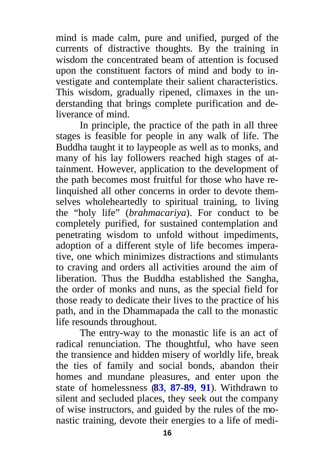mind is made calm, pure and unified, purged of the currents of distractive thoughts. By the training in wisdom the concentrated beam of attention is focused upon the constituent factors of mind and body to investigate and contemplate their salient characteristics. This wisdom, gradually ripened, climaxes in the understanding that brings complete purification and deliverance of mind.

In principle, the practice of the path in all three stages is feasible for people in any walk of life. The Buddha taught it to laypeople as well as to monks, and many of his lay followers reached high stages of attainment. However, application to the development of the path becomes most fruitful for those who have relinquished all other concerns in order to devote themselves wholeheartedly to spiritual training, to living the "holy life" (*brahmacariya*). For conduct to be completely purified, for sustained contemplation and penetrating wisdom to unfold without impediments, adoption of a different style of life becomes imperative, one which minimizes distractions and stimulants to craving and orders all activities around the aim of liberation. Thus the Buddha established the Sangha, the order of monks and nuns, as the special field for those ready to dedicate their lives to the practice of his path, and in the Dhammapada the call to the monastic life resounds throughout.

The entry-way to the monastic life is an act of radical renunciation. The thoughtful, who have seen the transience and hidden misery of worldly life, break the ties of family and social bonds, abandon their homes and mundane pleasures, and enter upon the state of homelessness (**[83](#page-36-0)**, **[87](#page-37-0)**-**89**, **[91](#page-38-0)**). Withdrawn to silent and secluded places, they seek out the company of wise instructors, and guided by the rules of the monastic training, devote their energies to a life of medi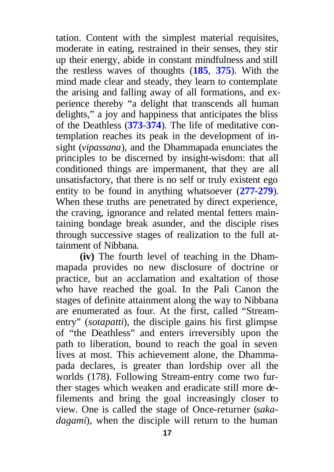tation. Content with the simplest material requisites, moderate in eating, restrained in their senses, they stir up their energy, abide in constant mindfulness and still the restless waves of thoughts (**[185](#page-52-0)**, **[375](#page-81-0)**). With the mind made clear and steady, they learn to contemplate the arising and falling away of all formations, and experience thereby "a delight that transcends all human delights," a joy and happiness that anticipates the bliss of the Deathless (**[373](#page-81-0)**-**374**). The life of meditative contemplation reaches its peak in the development of insight (*vipassana*), and the Dhammapada enunciates the principles to be discerned by insight-wisdom: that all conditioned things are impermanent, that they are all unsatisfactory, that there is no self or truly existent ego entity to be found in anything whatsoever (**[277](#page-66-0)**-**279**). When these truths are penetrated by direct experience, the craving, ignorance and related mental fetters maintaining bondage break asunder, and the disciple rises through successive stages of realization to the full attainment of Nibbana.

**(iv)** The fourth level of teaching in the Dhammapada provides no new disclosure of doctrine or practice, but an acclamation and exaltation of those who have reached the goal. In the Pali Canon the stages of definite attainment along the way to Nibbana are enumerated as four. At the first, called "Streamentry" (*sotapatti*), the disciple gains his first glimpse of "the Deathless" and enters irreversibly upon the path to liberation, bound to reach the goal in seven lives at most. This achievement alone, the Dhammapada declares, is greater than lordship over all the worlds (178). Following Stream-entry come two further stages which weaken and eradicate still more defilements and bring the goal increasingly closer to view. One is called the stage of Once-returner (*sakadagami*), when the disciple will return to the human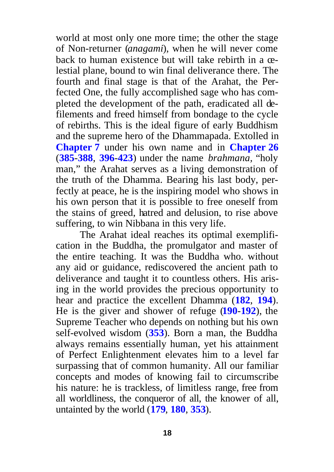world at most only one more time; the other the stage of Non-returner (*anagami*), when he will never come back to human existence but will take rebirth in a celestial plane, bound to win final deliverance there. The fourth and final stage is that of the Arahat, the Perfected One, the fully accomplished sage who has completed the development of the path, eradicated all defilements and freed himself from bondage to the cycle of rebirths. This is the ideal figure of early Buddhism and the supreme hero of the Dhammapada. Extolled in **[Chapter](#page-38-0) 7** under his own name and in **[Chapter](#page-83-0) 26** (**[385](#page-83-0)**-**388**, **396**-**[423](#page-85-0)**) under the name *brahmana,* "holy man," the Arahat serves as a living demonstration of the truth of the Dhamma. Bearing his last body, perfectly at peace, he is the inspiring model who shows in his own person that it is possible to free oneself from the stains of greed, hatred and delusion, to rise above suffering, to win Nibbana in this very life.

The Arahat ideal reaches its optimal exemplification in the Buddha, the promulgator and master of the entire teaching. It was the Buddha who. without any aid or guidance, rediscovered the ancient path to deliverance and taught it to countless others. His arising in the world provides the precious opportunity to hear and practice the excellent Dhamma (**[182](#page-52-0)**, **[194](#page-54-0)**). He is the giver and shower of refuge (**190**-**[192](#page-53-0)**), the Supreme Teacher who depends on nothing but his own self-evolved wisdom (**[353](#page-77-0)**). Born a man, the Buddha always remains essentially human, yet his attainment of Perfect Enlightenment elevates him to a level far surpassing that of common humanity. All our familiar concepts and modes of knowing fail to circumscribe his nature: he is trackless, of limitless range, free from all worldliness, the conqueror of all, the knower of all, untainted by the world (**[179](#page-52-0)**, **180**, **[353](#page-77-0)**).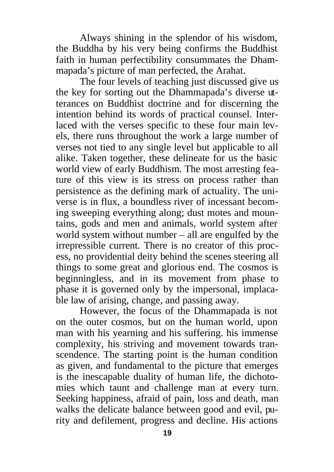Always shining in the splendor of his wisdom, the Buddha by his very being confirms the Buddhist faith in human perfectibility consummates the Dhammapada's picture of man perfected, the Arahat.

The four levels of teaching just discussed give us the key for sorting out the Dhammapada's diverse utterances on Buddhist doctrine and for discerning the intention behind its words of practical counsel. Interlaced with the verses specific to these four main levels, there runs throughout the work a large number of verses not tied to any single level but applicable to all alike. Taken together, these delineate for us the basic world view of early Buddhism. The most arresting feature of this view is its stress on process rather than persistence as the defining mark of actuality. The universe is in flux, a boundless river of incessant becoming sweeping everything along; dust motes and mountains, gods and men and animals, world system after world system without number – all are engulfed by the irrepressible current. There is no creator of this process, no providential deity behind the scenes steering all things to some great and glorious end. The cosmos is beginningless, and in its movement from phase to phase it is governed only by the impersonal, implacable law of arising, change, and passing away.

However, the focus of the Dhammapada is not on the outer cosmos, but on the human world, upon man with his yearning and his suffering. his immense complexity, his striving and movement towards transcendence. The starting point is the human condition as given, and fundamental to the picture that emerges is the inescapable duality of human life, the dichotomies which taunt and challenge man at every turn. Seeking happiness, afraid of pain, loss and death, man walks the delicate balance between good and evil, purity and defilement, progress and decline. His actions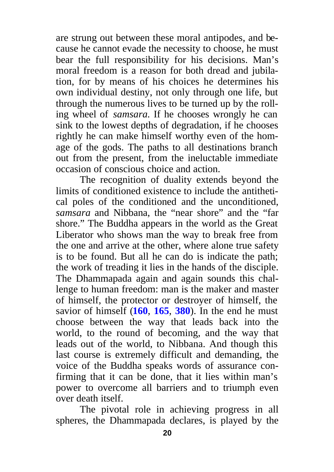are strung out between these moral antipodes, and because he cannot evade the necessity to choose, he must bear the full responsibility for his decisions. Man's moral freedom is a reason for both dread and jubilation, for by means of his choices he determines his own individual destiny, not only through one life, but through the numerous lives to be turned up by the rolling wheel of *samsara.* If he chooses wrongly he can sink to the lowest depths of degradation, if he chooses rightly he can make himself worthy even of the homage of the gods. The paths to all destinations branch out from the present, from the ineluctable immediate occasion of conscious choice and action.

The recognition of duality extends beyond the limits of conditioned existence to include the antithetical poles of the conditioned and the unconditioned, *samsara* and Nibbana, the "near shore" and the "far shore." The Buddha appears in the world as the Great Liberator who shows man the way to break free from the one and arrive at the other, where alone true safety is to be found. But all he can do is indicate the path; the work of treading it lies in the hands of the disciple. The Dhammapada again and again sounds this challenge to human freedom: man is the maker and master of himself, the protector or destroyer of himself, the savior of himself (**[160](#page-48-0)**, **[165](#page-49-0)**, **[380](#page-82-0)**). In the end he must choose between the way that leads back into the world, to the round of becoming, and the way that leads out of the world, to Nibbana. And though this last course is extremely difficult and demanding, the voice of the Buddha speaks words of assurance confirming that it can be done, that it lies within man's power to overcome all barriers and to triumph even over death itself.

The pivotal role in achieving progress in all spheres, the Dhammapada declares, is played by the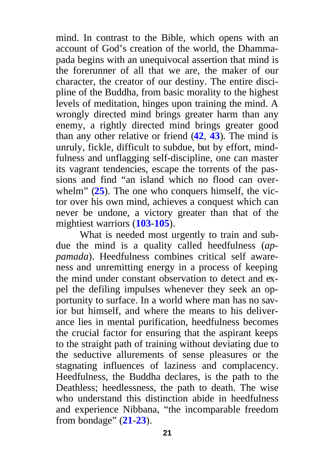mind. In contrast to the Bible, which opens with an account of God's creation of the world, the Dhammapada begins with an unequivocal assertion that mind is the forerunner of all that we are, the maker of our character, the creator of our destiny. The entire discipline of the Buddha, from basic morality to the highest levels of meditation, hinges upon training the mind. A wrongly directed mind brings greater harm than any enemy, a rightly directed mind brings greater good than any other relative or friend (**[42](#page-30-0)**, **43**). The mind is unruly, fickle, difficult to subdue, but by effort, mindfulness and unflagging self-discipline, one can master its vagrant tendencies, escape the torrents of the passions and find "an island which no flood can overwhelm" (**[25](#page-27-0)**). The one who conquers himself, the victor over his own mind, achieves a conquest which can never be undone, a victory greater than that of the mightiest warriors (**[103](#page-40-0)**-**105**).

What is needed most urgently to train and subdue the mind is a quality called heedfulness (*appamada*). Heedfulness combines critical self awareness and unremitting energy in a process of keeping the mind under constant observation to detect and expel the defiling impulses whenever they seek an opportunity to surface. In a world where man has no savior but himself, and where the means to his deliverance lies in mental purification, heedfulness becomes the crucial factor for ensuring that the aspirant keeps to the straight path of training without deviating due to the seductive allurements of sense pleasures or the stagnating influences of laziness and complacency. Heedfulness, the Buddha declares, is the path to the Deathless; heedlessness, the path to death. The wise who understand this distinction abide in heedfulness and experience Nibbana, "the incomparable freedom from bondage" (**[21](#page-27-0)**-**23**).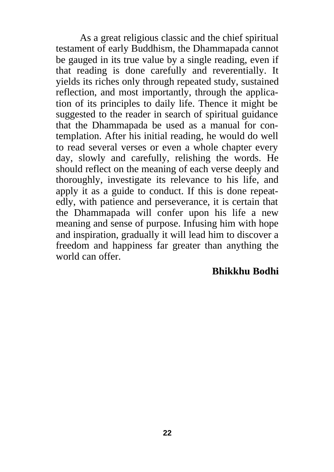As a great religious classic and the chief spiritual testament of early Buddhism, the Dhammapada cannot be gauged in its true value by a single reading, even if that reading is done carefully and reverentially. It yields its riches only through repeated study, sustained reflection, and most importantly, through the application of its principles to daily life. Thence it might be suggested to the reader in search of spiritual guidance that the Dhammapada be used as a manual for contemplation. After his initial reading, he would do well to read several verses or even a whole chapter every day, slowly and carefully, relishing the words. He should reflect on the meaning of each verse deeply and thoroughly, investigate its relevance to his life, and apply it as a guide to conduct. If this is done repeatedly, with patience and perseverance, it is certain that the Dhammapada will confer upon his life a new meaning and sense of purpose. Infusing him with hope and inspiration, gradually it will lead him to discover a freedom and happiness far greater than anything the world can offer.

#### **Bhikkhu Bodhi**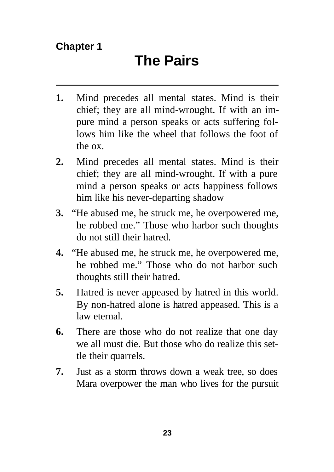- <span id="page-24-0"></span>**1.** Mind precedes all mental states. Mind is their chief; they are all mind-wrought. If with an impure mind a person speaks or acts suffering follows him like the wheel that follows the foot of the ox.
- **2.** Mind precedes all mental states. Mind is their chief; they are all mind-wrought. If with a pure mind a person speaks or acts happiness follows him like his never-departing shadow
- **3.** "He abused me, he struck me, he overpowered me, he robbed me." Those who harbor such thoughts do not still their hatred.
- **4.** "He abused me, he struck me, he overpowered me, he robbed me." Those who do not harbor such thoughts still their hatred.
- **5.** Hatred is never appeased by hatred in this world. By non-hatred alone is hatred appeased. This is a law eternal.
- **6.** There are those who do not realize that one day we all must die. But those who do realize this settle their quarrels.
- **7.** Just as a storm throws down a weak tree, so does Mara overpower the man who lives for the pursuit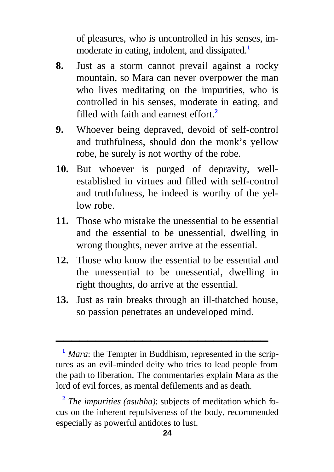of pleasures, who is uncontrolled in his senses, immoderate in eating, indolent, and dissipated.**<sup>1</sup>**

- **8.** Just as a storm cannot prevail against a rocky mountain, so Mara can never overpower the man who lives meditating on the impurities, who is controlled in his senses, moderate in eating, and filled with faith and earnest effort.**<sup>2</sup>**
- **9.** Whoever being depraved, devoid of self-control and truthfulness, should don the monk's yellow robe, he surely is not worthy of the robe.
- **10.** But whoever is purged of depravity, wellestablished in virtues and filled with self-control and truthfulness, he indeed is worthy of the yellow robe.
- **11.** Those who mistake the unessential to be essential and the essential to be unessential, dwelling in wrong thoughts, never arrive at the essential.
- **12.** Those who know the essential to be essential and the unessential to be unessential, dwelling in right thoughts, do arrive at the essential.
- **13.** Just as rain breaks through an ill-thatched house, so passion penetrates an undeveloped mind.

**<sup>1</sup>** *Mara*: the Tempter in Buddhism, represented in the scriptures as an evil-minded deity who tries to lead people from the path to liberation. The commentaries explain Mara as the lord of evil forces, as mental defilements and as death.

**<sup>2</sup>** *The impurities (asubha)*: subjects of meditation which focus on the inherent repulsiveness of the body, recommended especially as powerful antidotes to lust.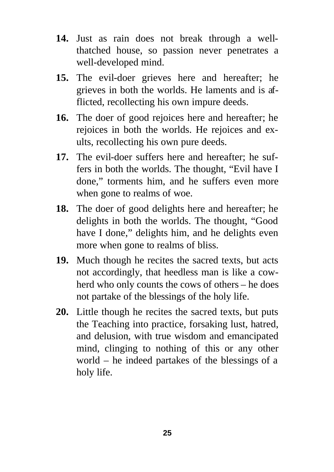- <span id="page-26-0"></span>**14.** Just as rain does not break through a wellthatched house, so passion never penetrates a well-developed mind.
- **15.** The evil-doer grieves here and hereafter; he grieves in both the worlds. He laments and is afflicted, recollecting his own impure deeds.
- **16.** The doer of good rejoices here and hereafter; he rejoices in both the worlds. He rejoices and exults, recollecting his own pure deeds.
- **17.** The evil-doer suffers here and hereafter; he suffers in both the worlds. The thought, "Evil have I done," torments him, and he suffers even more when gone to realms of woe.
- **18.** The doer of good delights here and hereafter; he delights in both the worlds. The thought, "Good have I done," delights him, and he delights even more when gone to realms of bliss.
- **19.** Much though he recites the sacred texts, but acts not accordingly, that heedless man is like a cowherd who only counts the cows of others – he does not partake of the blessings of the holy life.
- **20.** Little though he recites the sacred texts, but puts the Teaching into practice, forsaking lust, hatred, and delusion, with true wisdom and emancipated mind, clinging to nothing of this or any other world – he indeed partakes of the blessings of a holy life.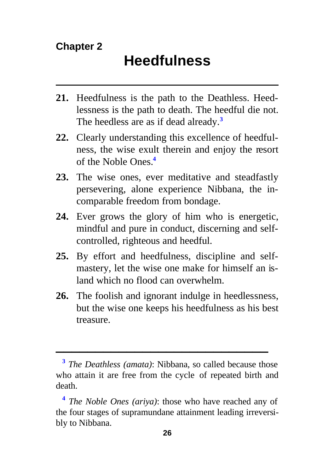- <span id="page-27-0"></span>**21.** Heedfulness is the path to the Deathless. Heedlessness is the path to death. The heedful die not. The heedless are as if dead already.**<sup>3</sup>**
- **22.** Clearly understanding this excellence of heedfulness, the wise exult therein and enjoy the resort of the Noble Ones.**<sup>4</sup>**
- **23.** The wise ones, ever meditative and steadfastly persevering, alone experience Nibbana, the incomparable freedom from bondage.
- **24.** Ever grows the glory of him who is energetic, mindful and pure in conduct, discerning and selfcontrolled, righteous and heedful.
- **25.** By effort and heedfulness, discipline and selfmastery, let the wise one make for himself an island which no flood can overwhelm.
- **26.** The foolish and ignorant indulge in heedlessness, but the wise one keeps his heedfulness as his best treasure.

**<sup>3</sup>** *The Deathless (amata)*: Nibbana, so called because those who attain it are free from the cycle of repeated birth and death.

**<sup>4</sup>** *The Noble Ones (ariya)*: those who have reached any of the four stages of supramundane attainment leading irreversibly to Nibbana.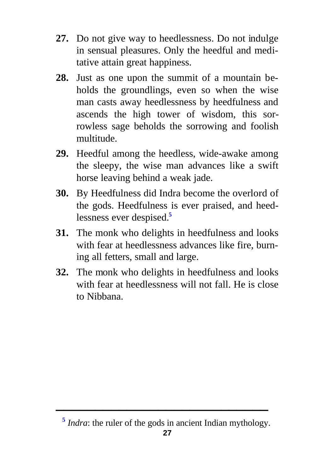- **27.** Do not give way to heedlessness. Do not indulge in sensual pleasures. Only the heedful and meditative attain great happiness.
- **28.** Just as one upon the summit of a mountain beholds the groundlings, even so when the wise man casts away heedlessness by heedfulness and ascends the high tower of wisdom, this sorrowless sage beholds the sorrowing and foolish multitude.
- **29.** Heedful among the heedless, wide-awake among the sleepy, the wise man advances like a swift horse leaving behind a weak jade.
- **30.** By Heedfulness did Indra become the overlord of the gods. Heedfulness is ever praised, and heedlessness ever despised.**<sup>5</sup>**
- **31.** The monk who delights in heedfulness and looks with fear at heedlessness advances like fire, burning all fetters, small and large.
- **32.** The monk who delights in heedfulness and looks with fear at heedlessness will not fall. He is close to Nibbana.

**<sup>5</sup>** *Indra*: the ruler of the gods in ancient Indian mythology.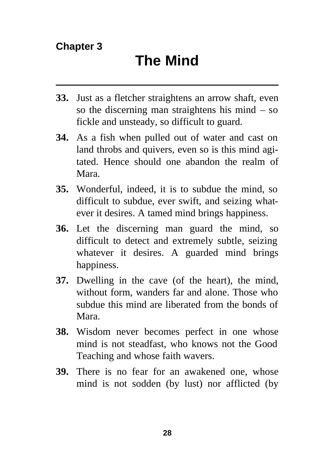- <span id="page-29-0"></span>**33.** Just as a fletcher straightens an arrow shaft, even so the discerning man straightens his mind – so fickle and unsteady, so difficult to guard.
- **34.** As a fish when pulled out of water and cast on land throbs and quivers, even so is this mind agitated. Hence should one abandon the realm of Mara.
- **35.** Wonderful, indeed, it is to subdue the mind, so difficult to subdue, ever swift, and seizing whatever it desires. A tamed mind brings happiness.
- **36.** Let the discerning man guard the mind, so difficult to detect and extremely subtle, seizing whatever it desires. A guarded mind brings happiness.
- **37.** Dwelling in the cave (of the heart), the mind, without form, wanders far and alone. Those who subdue this mind are liberated from the bonds of Mara.
- **38.** Wisdom never becomes perfect in one whose mind is not steadfast, who knows not the Good Teaching and whose faith wavers.
- **39.** There is no fear for an awakened one, whose mind is not sodden (by lust) nor afflicted (by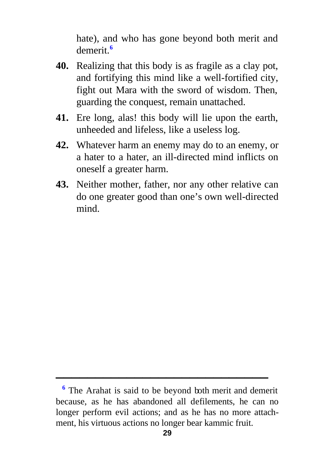hate), and who has gone beyond both merit and demerit.**<sup>6</sup>**

- <span id="page-30-0"></span>**40.** Realizing that this body is as fragile as a clay pot, and fortifying this mind like a well-fortified city, fight out Mara with the sword of wisdom. Then, guarding the conquest, remain unattached.
- **41.** Ere long, alas! this body will lie upon the earth, unheeded and lifeless, like a useless log.
- **42.** Whatever harm an enemy may do to an enemy, or a hater to a hater, an ill-directed mind inflicts on oneself a greater harm.
- **43.** Neither mother, father, nor any other relative can do one greater good than one's own well-directed mind.

<sup>&</sup>lt;sup>6</sup> The Arahat is said to be beyond both merit and demerit because, as he has abandoned all defilements, he can no longer perform evil actions; and as he has no more attachment, his virtuous actions no longer bear kammic fruit.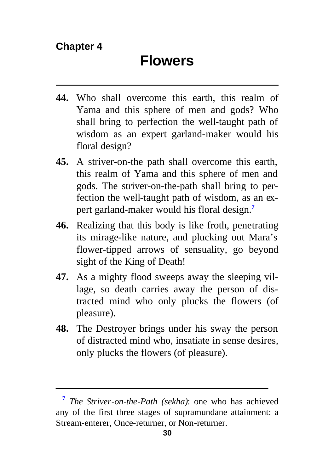- <span id="page-31-0"></span>**44.** Who shall overcome this earth, this realm of Yama and this sphere of men and gods? Who shall bring to perfection the well-taught path of wisdom as an expert garland-maker would his floral design?
- **45.** A striver-on-the path shall overcome this earth, this realm of Yama and this sphere of men and gods. The striver-on-the-path shall bring to perfection the well-taught path of wisdom, as an expert garland-maker would his floral design.**<sup>7</sup>**
- **46.** Realizing that this body is like froth, penetrating its mirage-like nature, and plucking out Mara's flower-tipped arrows of sensuality, go beyond sight of the King of Death!
- **47.** As a mighty flood sweeps away the sleeping village, so death carries away the person of distracted mind who only plucks the flowers (of pleasure).
- **48.** The Destroyer brings under his sway the person of distracted mind who, insatiate in sense desires, only plucks the flowers (of pleasure).

**<sup>7</sup>** *The Striver-on-the-Path (sekha)*: one who has achieved any of the first three stages of supramundane attainment: a Stream-enterer, Once-returner, or Non-returner.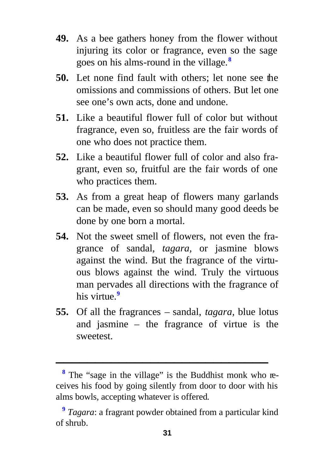- <span id="page-32-0"></span>**49.** As a bee gathers honey from the flower without injuring its color or fragrance, even so the sage goes on his alms-round in the village.**<sup>8</sup>**
- **50.** Let none find fault with others; let none see the omissions and commissions of others. But let one see one's own acts, done and undone.
- **51.** Like a beautiful flower full of color but without fragrance, even so, fruitless are the fair words of one who does not practice them.
- **52.** Like a beautiful flower full of color and also fragrant, even so, fruitful are the fair words of one who practices them.
- **53.** As from a great heap of flowers many garlands can be made, even so should many good deeds be done by one born a mortal.
- **54.** Not the sweet smell of flowers, not even the fragrance of sandal, *tagara,* or jasmine blows against the wind. But the fragrance of the virtuous blows against the wind. Truly the virtuous man pervades all directions with the fragrance of his virtue.**<sup>9</sup>**
- **55.** Of all the fragrances sandal, *tagara,* blue lotus and jasmine – the fragrance of virtue is the sweetest.

<sup>&</sup>lt;sup>8</sup> The "sage in the village" is the Buddhist monk who receives his food by going silently from door to door with his alms bowls, accepting whatever is offered.

**<sup>9</sup>** *Tagara*: a fragrant powder obtained from a particular kind of shrub.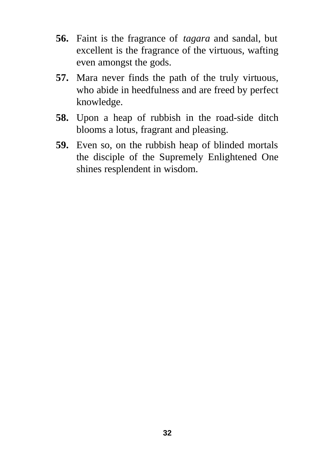- **56.** Faint is the fragrance of *tagara* and sandal, but excellent is the fragrance of the virtuous, wafting even amongst the gods.
- **57.** Mara never finds the path of the truly virtuous, who abide in heedfulness and are freed by perfect knowledge.
- **58.** Upon a heap of rubbish in the road-side ditch blooms a lotus, fragrant and pleasing.
- **59.** Even so, on the rubbish heap of blinded mortals the disciple of the Supremely Enlightened One shines resplendent in wisdom.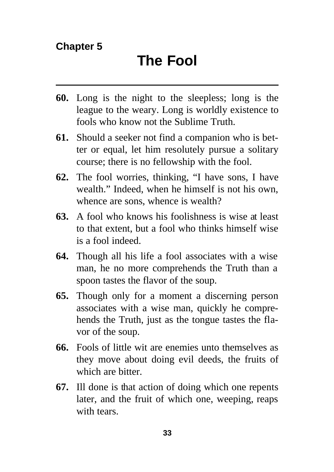- <span id="page-34-0"></span>**60.** Long is the night to the sleepless; long is the league to the weary. Long is worldly existence to fools who know not the Sublime Truth.
- **61.** Should a seeker not find a companion who is better or equal, let him resolutely pursue a solitary course; there is no fellowship with the fool.
- **62.** The fool worries, thinking, "I have sons, I have wealth." Indeed, when he himself is not his own, whence are sons, whence is wealth?
- **63.** A fool who knows his foolishness is wise at least to that extent, but a fool who thinks himself wise is a fool indeed.
- **64.** Though all his life a fool associates with a wise man, he no more comprehends the Truth than a spoon tastes the flavor of the soup.
- **65.** Though only for a moment a discerning person associates with a wise man, quickly he comprehends the Truth, just as the tongue tastes the flavor of the soup.
- **66.** Fools of little wit are enemies unto themselves as they move about doing evil deeds, the fruits of which are bitter.
- **67.** Ill done is that action of doing which one repents later, and the fruit of which one, weeping, reaps with tears.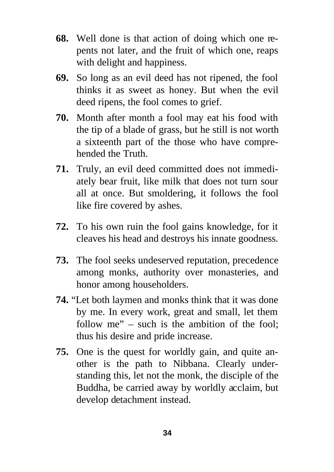- **68.** Well done is that action of doing which one repents not later, and the fruit of which one, reaps with delight and happiness.
- **69.** So long as an evil deed has not ripened, the fool thinks it as sweet as honey. But when the evil deed ripens, the fool comes to grief.
- **70.** Month after month a fool may eat his food with the tip of a blade of grass, but he still is not worth a sixteenth part of the those who have comprehended the Truth.
- **71.** Truly, an evil deed committed does not immediately bear fruit, like milk that does not turn sour all at once. But smoldering, it follows the fool like fire covered by ashes.
- **72.** To his own ruin the fool gains knowledge, for it cleaves his head and destroys his innate goodness.
- **73.** The fool seeks undeserved reputation, precedence among monks, authority over monasteries, and honor among householders.
- **74.** "Let both laymen and monks think that it was done by me. In every work, great and small, let them follow me" – such is the ambition of the fool; thus his desire and pride increase.
- **75.** One is the quest for worldly gain, and quite another is the path to Nibbana. Clearly understanding this, let not the monk, the disciple of the Buddha, be carried away by worldly acclaim, but develop detachment instead.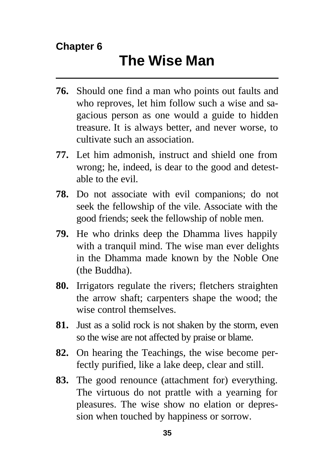- **76.** Should one find a man who points out faults and who reproves, let him follow such a wise and sagacious person as one would a guide to hidden treasure. It is always better, and never worse, to cultivate such an association.
- **77.** Let him admonish, instruct and shield one from wrong; he, indeed, is dear to the good and detestable to the evil.
- **78.** Do not associate with evil companions; do not seek the fellowship of the vile. Associate with the good friends; seek the fellowship of noble men.
- **79.** He who drinks deep the Dhamma lives happily with a tranquil mind. The wise man ever delights in the Dhamma made known by the Noble One (the Buddha).
- **80.** Irrigators regulate the rivers; fletchers straighten the arrow shaft; carpenters shape the wood; the wise control themselves.
- **81.** Just as a solid rock is not shaken by the storm, even so the wise are not affected by praise or blame.
- **82.** On hearing the Teachings, the wise become perfectly purified, like a lake deep, clear and still.
- **83.** The good renounce (attachment for) everything. The virtuous do not prattle with a yearning for pleasures. The wise show no elation or depression when touched by happiness or sorrow.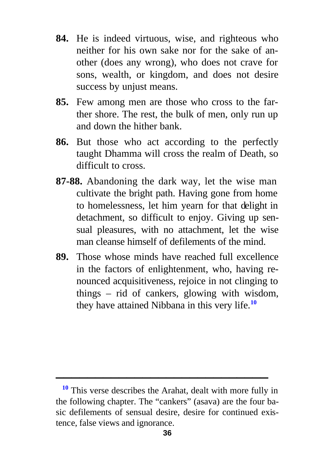- **84.** He is indeed virtuous, wise, and righteous who neither for his own sake nor for the sake of another (does any wrong), who does not crave for sons, wealth, or kingdom, and does not desire success by unjust means.
- **85.** Few among men are those who cross to the farther shore. The rest, the bulk of men, only run up and down the hither bank.
- **86.** But those who act according to the perfectly taught Dhamma will cross the realm of Death, so difficult to cross.
- **87-88.** Abandoning the dark way, let the wise man cultivate the bright path. Having gone from home to homelessness, let him yearn for that delight in detachment, so difficult to enjoy. Giving up sensual pleasures, with no attachment, let the wise man cleanse himself of defilements of the mind.
- **89.** Those whose minds have reached full excellence in the factors of enlightenment, who, having renounced acquisitiveness, rejoice in not clinging to things – rid of cankers, glowing with wisdom, they have attained Nibbana in this very life.**<sup>10</sup>**

**<sup>10</sup>** This verse describes the Arahat, dealt with more fully in the following chapter. The "cankers" (asava) are the four basic defilements of sensual desire, desire for continued existence, false views and ignorance.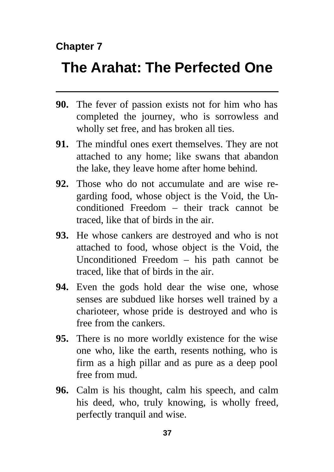### **Chapter 7**

## **The Arahat: The Perfected One**

- **90.** The fever of passion exists not for him who has completed the journey, who is sorrowless and wholly set free, and has broken all ties.
- **91.** The mindful ones exert themselves. They are not attached to any home; like swans that abandon the lake, they leave home after home behind.
- **92.** Those who do not accumulate and are wise regarding food, whose object is the Void, the Unconditioned Freedom – their track cannot be traced, like that of birds in the air.
- **93.** He whose cankers are destroyed and who is not attached to food, whose object is the Void, the Unconditioned Freedom – his path cannot be traced, like that of birds in the air.
- **94.** Even the gods hold dear the wise one, whose senses are subdued like horses well trained by a charioteer, whose pride is destroyed and who is free from the cankers.
- **95.** There is no more worldly existence for the wise one who, like the earth, resents nothing, who is firm as a high pillar and as pure as a deep pool free from mud.
- **96.** Calm is his thought, calm his speech, and calm his deed, who, truly knowing, is wholly freed, perfectly tranquil and wise.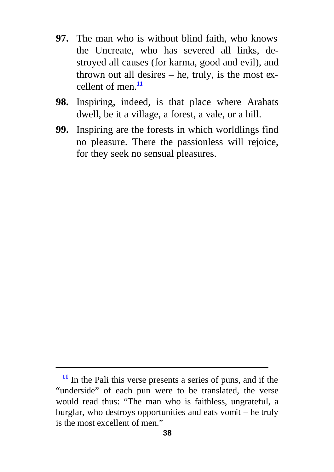- **97.** The man who is without blind faith, who knows the Uncreate, who has severed all links, destroyed all causes (for karma, good and evil), and thrown out all desires – he, truly, is the most excellent of men.**<sup>11</sup>**
- **98.** Inspiring, indeed, is that place where Arahats dwell, be it a village, a forest, a vale, or a hill.
- **99.** Inspiring are the forests in which worldlings find no pleasure. There the passionless will rejoice, for they seek no sensual pleasures.

**<sup>11</sup>** In the Pali this verse presents a series of puns, and if the "underside" of each pun were to be translated, the verse would read thus: "The man who is faithless, ungrateful, a burglar, who destroys opportunities and eats vomit – he truly is the most excellent of men."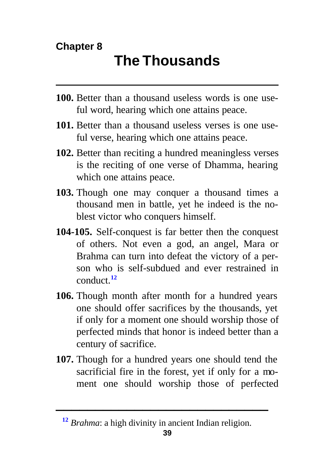# **The Thousands**

- **100.** Better than a thousand useless words is one useful word, hearing which one attains peace.
- **101.** Better than a thousand useless verses is one useful verse, hearing which one attains peace.
- **102.** Better than reciting a hundred meaningless verses is the reciting of one verse of Dhamma, hearing which one attains peace.
- **103.** Though one may conquer a thousand times a thousand men in battle, yet he indeed is the noblest victor who conquers himself.
- **104-105.** Self-conquest is far better then the conquest of others. Not even a god, an angel, Mara or Brahma can turn into defeat the victory of a person who is self-subdued and ever restrained in conduct.**<sup>12</sup>**
- **106.** Though month after month for a hundred years one should offer sacrifices by the thousands, yet if only for a moment one should worship those of perfected minds that honor is indeed better than a century of sacrifice.
- **107.** Though for a hundred years one should tend the sacrificial fire in the forest, yet if only for a moment one should worship those of perfected

**<sup>12</sup>** *Brahma*: a high divinity in ancient Indian religion.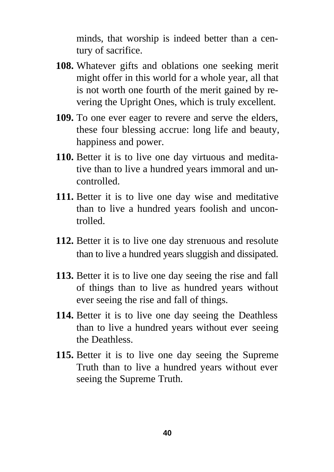minds, that worship is indeed better than a century of sacrifice.

- **108.** Whatever gifts and oblations one seeking merit might offer in this world for a whole year, all that is not worth one fourth of the merit gained by revering the Upright Ones, which is truly excellent.
- **109.** To one ever eager to revere and serve the elders, these four blessing accrue: long life and beauty, happiness and power.
- **110.** Better it is to live one day virtuous and meditative than to live a hundred years immoral and uncontrolled.
- **111.** Better it is to live one day wise and meditative than to live a hundred years foolish and uncontrolled.
- **112.** Better it is to live one day strenuous and resolute than to live a hundred years sluggish and dissipated.
- **113.** Better it is to live one day seeing the rise and fall of things than to live as hundred years without ever seeing the rise and fall of things.
- **114.** Better it is to live one day seeing the Deathless than to live a hundred years without ever seeing the Deathless.
- **115.** Better it is to live one day seeing the Supreme Truth than to live a hundred years without ever seeing the Supreme Truth.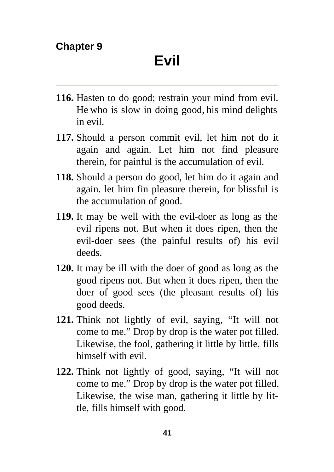- **116.** Hasten to do good; restrain your mind from evil. He who is slow in doing good, his mind delights in evil.
- **117.** Should a person commit evil, let him not do it again and again. Let him not find pleasure therein, for painful is the accumulation of evil.
- **118.** Should a person do good, let him do it again and again. let him fin pleasure therein, for blissful is the accumulation of good.
- **119.** It may be well with the evil-doer as long as the evil ripens not. But when it does ripen, then the evil-doer sees (the painful results of) his evil deeds.
- **120.** It may be ill with the doer of good as long as the good ripens not. But when it does ripen, then the doer of good sees (the pleasant results of) his good deeds.
- **121.** Think not lightly of evil, saying, "It will not come to me." Drop by drop is the water pot filled. Likewise, the fool, gathering it little by little, fills himself with evil.
- **122.** Think not lightly of good, saying, "It will not come to me." Drop by drop is the water pot filled. Likewise, the wise man, gathering it little by little, fills himself with good.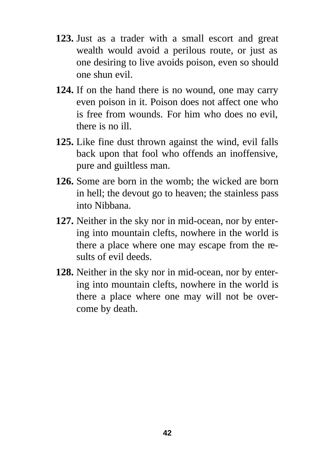- **123.** Just as a trader with a small escort and great wealth would avoid a perilous route, or just as one desiring to live avoids poison, even so should one shun evil.
- **124.** If on the hand there is no wound, one may carry even poison in it. Poison does not affect one who is free from wounds. For him who does no evil, there is no ill.
- **125.** Like fine dust thrown against the wind, evil falls back upon that fool who offends an inoffensive, pure and guiltless man.
- **126.** Some are born in the womb; the wicked are born in hell; the devout go to heaven; the stainless pass into Nibbana.
- **127.** Neither in the sky nor in mid-ocean, nor by entering into mountain clefts, nowhere in the world is there a place where one may escape from the results of evil deeds.
- **128.** Neither in the sky nor in mid-ocean, nor by entering into mountain clefts, nowhere in the world is there a place where one may will not be overcome by death.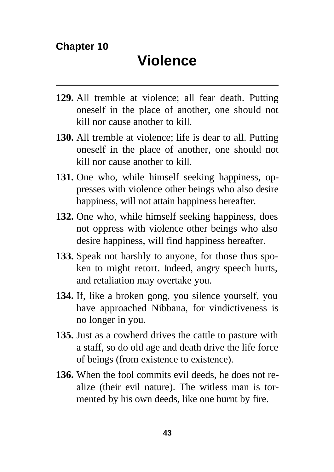- **129.** All tremble at violence; all fear death. Putting oneself in the place of another, one should not kill nor cause another to kill.
- **130.** All tremble at violence; life is dear to all. Putting oneself in the place of another, one should not kill nor cause another to kill.
- **131.** One who, while himself seeking happiness, oppresses with violence other beings who also desire happiness, will not attain happiness hereafter.
- **132.** One who, while himself seeking happiness, does not oppress with violence other beings who also desire happiness, will find happiness hereafter.
- **133.** Speak not harshly to anyone, for those thus spoken to might retort. Indeed, angry speech hurts, and retaliation may overtake you.
- **134.** If, like a broken gong, you silence yourself, you have approached Nibbana, for vindictiveness is no longer in you.
- **135.** Just as a cowherd drives the cattle to pasture with a staff, so do old age and death drive the life force of beings (from existence to existence).
- **136.** When the fool commits evil deeds, he does not realize (their evil nature). The witless man is tormented by his own deeds, like one burnt by fire.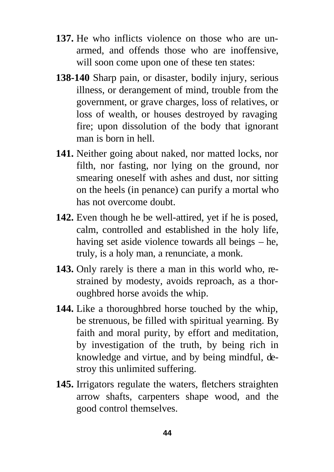- **137.** He who inflicts violence on those who are unarmed, and offends those who are inoffensive, will soon come upon one of these ten states:
- **138-140** Sharp pain, or disaster, bodily injury, serious illness, or derangement of mind, trouble from the government, or grave charges, loss of relatives, or loss of wealth, or houses destroyed by ravaging fire; upon dissolution of the body that ignorant man is born in hell.
- **141.** Neither going about naked, nor matted locks, nor filth, nor fasting, nor lying on the ground, nor smearing oneself with ashes and dust, nor sitting on the heels (in penance) can purify a mortal who has not overcome doubt.
- **142.** Even though he be well-attired, yet if he is posed, calm, controlled and established in the holy life, having set aside violence towards all beings – he, truly, is a holy man, a renunciate, a monk.
- **143.** Only rarely is there a man in this world who, restrained by modesty, avoids reproach, as a thoroughbred horse avoids the whip.
- **144.** Like a thoroughbred horse touched by the whip, be strenuous, be filled with spiritual yearning. By faith and moral purity, by effort and meditation, by investigation of the truth, by being rich in knowledge and virtue, and by being mindful, destroy this unlimited suffering.
- **145.** Irrigators regulate the waters, fletchers straighten arrow shafts, carpenters shape wood, and the good control themselves.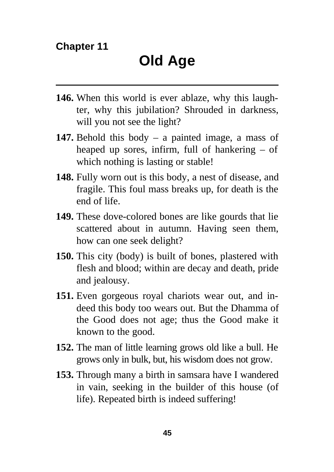- **146.** When this world is ever ablaze, why this laughter, why this jubilation? Shrouded in darkness, will you not see the light?
- **147.** Behold this body a painted image, a mass of heaped up sores, infirm, full of hankering – of which nothing is lasting or stable!
- **148.** Fully worn out is this body, a nest of disease, and fragile. This foul mass breaks up, for death is the end of life.
- **149.** These dove-colored bones are like gourds that lie scattered about in autumn. Having seen them, how can one seek delight?
- **150.** This city (body) is built of bones, plastered with flesh and blood; within are decay and death, pride and jealousy.
- **151.** Even gorgeous royal chariots wear out, and indeed this body too wears out. But the Dhamma of the Good does not age; thus the Good make it known to the good.
- **152.** The man of little learning grows old like a bull. He grows only in bulk, but, his wisdom does not grow.
- **153.** Through many a birth in samsara have I wandered in vain, seeking in the builder of this house (of life). Repeated birth is indeed suffering!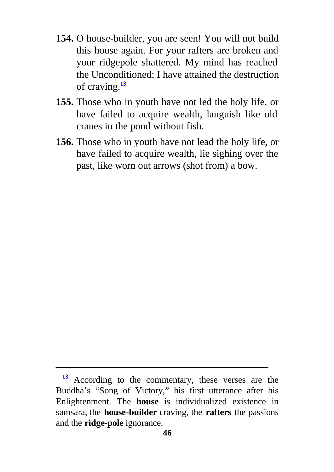- **154.** O house-builder, you are seen! You will not build this house again. For your rafters are broken and your ridgepole shattered. My mind has reached the Unconditioned; I have attained the destruction of craving.**<sup>13</sup>**
- **155.** Those who in youth have not led the holy life, or have failed to acquire wealth, languish like old cranes in the pond without fish.
- **156.** Those who in youth have not lead the holy life, or have failed to acquire wealth, lie sighing over the past, like worn out arrows (shot from) a bow.

**<sup>13</sup>** According to the commentary, these verses are the Buddha's "Song of Victory," his first utterance after his Enlightenment. The **house** is individualized existence in samsara, the **house-builder** craving, the **rafters** the passions and the **ridge-pole** ignorance.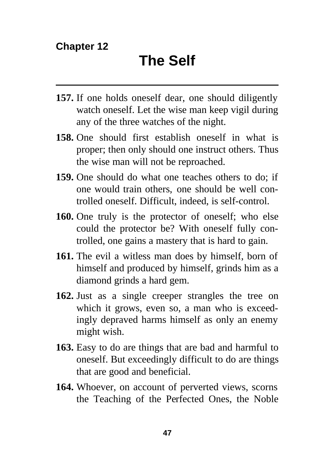- **157.** If one holds oneself dear, one should diligently watch oneself. Let the wise man keep vigil during any of the three watches of the night.
- **158.** One should first establish oneself in what is proper; then only should one instruct others. Thus the wise man will not be reproached.
- **159.** One should do what one teaches others to do; if one would train others, one should be well controlled oneself. Difficult, indeed, is self-control.
- **160.** One truly is the protector of oneself; who else could the protector be? With oneself fully controlled, one gains a mastery that is hard to gain.
- **161.** The evil a witless man does by himself, born of himself and produced by himself, grinds him as a diamond grinds a hard gem.
- **162.** Just as a single creeper strangles the tree on which it grows, even so, a man who is exceedingly depraved harms himself as only an enemy might wish.
- **163.** Easy to do are things that are bad and harmful to oneself. But exceedingly difficult to do are things that are good and beneficial.
- **164.** Whoever, on account of perverted views, scorns the Teaching of the Perfected Ones, the Noble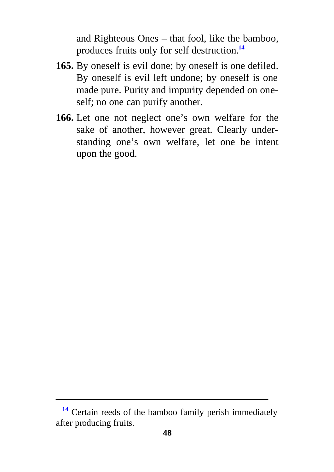and Righteous Ones – that fool, like the bamboo, produces fruits only for self destruction.**<sup>14</sup>**

- **165.** By oneself is evil done; by oneself is one defiled. By oneself is evil left undone; by oneself is one made pure. Purity and impurity depended on oneself; no one can purify another.
- **166.** Let one not neglect one's own welfare for the sake of another, however great. Clearly understanding one's own welfare, let one be intent upon the good.

**<sup>14</sup>** Certain reeds of the bamboo family perish immediately after producing fruits.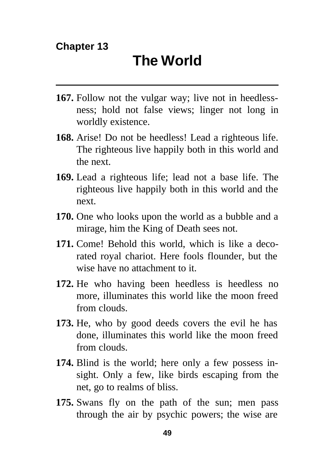- **167.** Follow not the vulgar way; live not in heedlessness; hold not false views; linger not long in worldly existence.
- **168.** Arise! Do not be heedless! Lead a righteous life. The righteous live happily both in this world and the next.
- **169.** Lead a righteous life; lead not a base life. The righteous live happily both in this world and the next.
- **170.** One who looks upon the world as a bubble and a mirage, him the King of Death sees not.
- **171.** Come! Behold this world, which is like a decorated royal chariot. Here fools flounder, but the wise have no attachment to it.
- **172.** He who having been heedless is heedless no more, illuminates this world like the moon freed from clouds.
- **173.** He, who by good deeds covers the evil he has done, illuminates this world like the moon freed from clouds.
- **174.** Blind is the world; here only a few possess insight. Only a few, like birds escaping from the net, go to realms of bliss.
- **175.** Swans fly on the path of the sun; men pass through the air by psychic powers; the wise are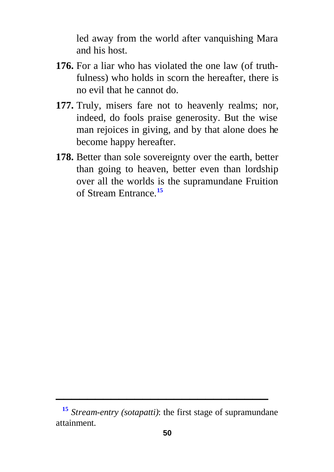led away from the world after vanquishing Mara and his host.

- **176.** For a liar who has violated the one law (of truthfulness) who holds in scorn the hereafter, there is no evil that he cannot do.
- **177.** Truly, misers fare not to heavenly realms; nor, indeed, do fools praise generosity. But the wise man rejoices in giving, and by that alone does he become happy hereafter.
- **178.** Better than sole sovereignty over the earth, better than going to heaven, better even than lordship over all the worlds is the supramundane Fruition of Stream Entrance.**<sup>15</sup>**

**<sup>15</sup>** *Stream-entry (sotapatti)*: the first stage of supramundane attainment.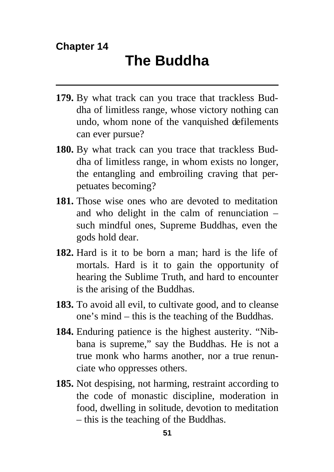- **179.** By what track can you trace that trackless Buddha of limitless range, whose victory nothing can undo, whom none of the vanquished defilements can ever pursue?
- **180.** By what track can you trace that trackless Buddha of limitless range, in whom exists no longer, the entangling and embroiling craving that perpetuates becoming?
- **181.** Those wise ones who are devoted to meditation and who delight in the calm of renunciation – such mindful ones, Supreme Buddhas, even the gods hold dear.
- **182.** Hard is it to be born a man; hard is the life of mortals. Hard is it to gain the opportunity of hearing the Sublime Truth, and hard to encounter is the arising of the Buddhas.
- **183.** To avoid all evil, to cultivate good, and to cleanse one's mind – this is the teaching of the Buddhas.
- **184.** Enduring patience is the highest austerity. "Nibbana is supreme," say the Buddhas. He is not a true monk who harms another, nor a true renunciate who oppresses others.
- **185.** Not despising, not harming, restraint according to the code of monastic discipline, moderation in food, dwelling in solitude, devotion to meditation – this is the teaching of the Buddhas.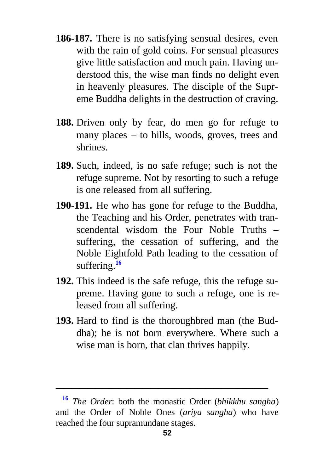- **186-187.** There is no satisfying sensual desires, even with the rain of gold coins. For sensual pleasures give little satisfaction and much pain. Having understood this, the wise man finds no delight even in heavenly pleasures. The disciple of the Supreme Buddha delights in the destruction of craving.
- **188.** Driven only by fear, do men go for refuge to many places – to hills, woods, groves, trees and shrines.
- **189.** Such, indeed, is no safe refuge; such is not the refuge supreme. Not by resorting to such a refuge is one released from all suffering.
- **190-191.** He who has gone for refuge to the Buddha, the Teaching and his Order, penetrates with transcendental wisdom the Four Noble Truths – suffering, the cessation of suffering, and the Noble Eightfold Path leading to the cessation of suffering.**<sup>16</sup>**
- **192.** This indeed is the safe refuge, this the refuge supreme. Having gone to such a refuge, one is released from all suffering.
- **193.** Hard to find is the thoroughbred man (the Buddha); he is not born everywhere. Where such a wise man is born, that clan thrives happily.

**<sup>16</sup>** *The Order*: both the monastic Order (*bhikkhu sangha*) and the Order of Noble Ones (*ariya sangha*) who have reached the four supramundane stages.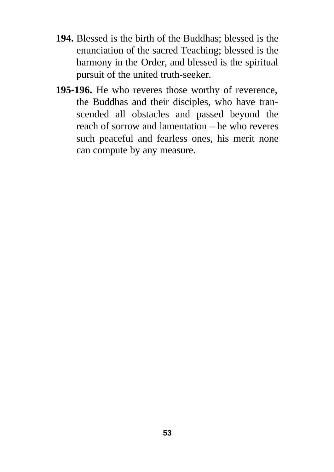- **194.** Blessed is the birth of the Buddhas; blessed is the enunciation of the sacred Teaching; blessed is the harmony in the Order, and blessed is the spiritual pursuit of the united truth-seeker.
- **195-196.** He who reveres those worthy of reverence, the Buddhas and their disciples, who have transcended all obstacles and passed beyond the reach of sorrow and lamentation – he who reveres such peaceful and fearless ones, his merit none can compute by any measure.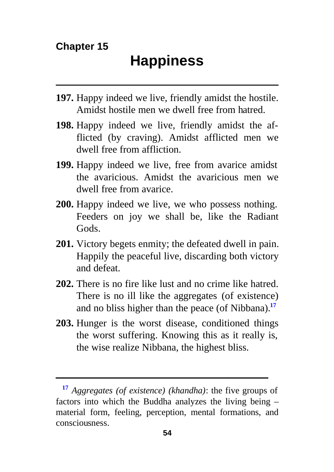- **197.** Happy indeed we live, friendly amidst the hostile. Amidst hostile men we dwell free from hatred.
- **198.** Happy indeed we live, friendly amidst the afflicted (by craving). Amidst afflicted men we dwell free from affliction.
- **199.** Happy indeed we live, free from avarice amidst the avaricious. Amidst the avaricious men we dwell free from avarice.
- **200.** Happy indeed we live, we who possess nothing. Feeders on joy we shall be, like the Radiant Gods.
- **201.** Victory begets enmity; the defeated dwell in pain. Happily the peaceful live, discarding both victory and defeat.
- **202.** There is no fire like lust and no crime like hatred. There is no ill like the aggregates (of existence) and no bliss higher than the peace (of Nibbana).**<sup>17</sup>**
- **203.** Hunger is the worst disease, conditioned things the worst suffering. Knowing this as it really is, the wise realize Nibbana, the highest bliss.

**<sup>17</sup>** *Aggregates (of existence) (khandha)*: the five groups of factors into which the Buddha analyzes the living being – material form, feeling, perception, mental formations, and consciousness.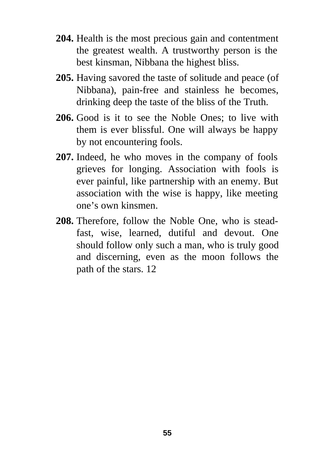- **204.** Health is the most precious gain and contentment the greatest wealth. A trustworthy person is the best kinsman, Nibbana the highest bliss.
- **205.** Having savored the taste of solitude and peace (of Nibbana), pain-free and stainless he becomes, drinking deep the taste of the bliss of the Truth.
- **206.** Good is it to see the Noble Ones; to live with them is ever blissful. One will always be happy by not encountering fools.
- **207.** Indeed, he who moves in the company of fools grieves for longing. Association with fools is ever painful, like partnership with an enemy. But association with the wise is happy, like meeting one's own kinsmen.
- **208.** Therefore, follow the Noble One, who is steadfast, wise, learned, dutiful and devout. One should follow only such a man, who is truly good and discerning, even as the moon follows the path of the stars. 12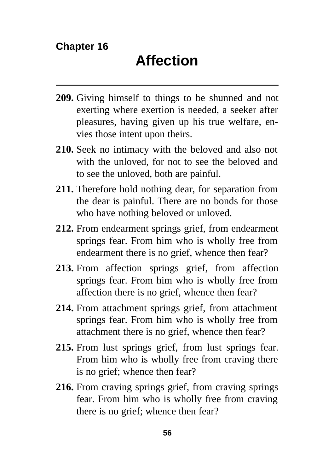- **209.** Giving himself to things to be shunned and not exerting where exertion is needed, a seeker after pleasures, having given up his true welfare, envies those intent upon theirs.
- **210.** Seek no intimacy with the beloved and also not with the unloved, for not to see the beloved and to see the unloved, both are painful.
- **211.** Therefore hold nothing dear, for separation from the dear is painful. There are no bonds for those who have nothing beloved or unloved.
- **212.** From endearment springs grief, from endearment springs fear. From him who is wholly free from endearment there is no grief, whence then fear?
- **213.** From affection springs grief, from affection springs fear. From him who is wholly free from affection there is no grief, whence then fear?
- **214.** From attachment springs grief, from attachment springs fear. From him who is wholly free from attachment there is no grief, whence then fear?
- **215.** From lust springs grief, from lust springs fear. From him who is wholly free from craving there is no grief; whence then fear?
- **216.** From craving springs grief, from craving springs fear. From him who is wholly free from craving there is no grief; whence then fear?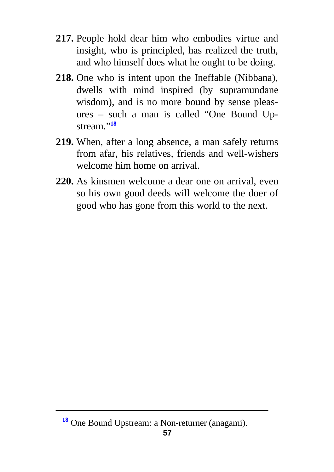- **217.** People hold dear him who embodies virtue and insight, who is principled, has realized the truth, and who himself does what he ought to be doing.
- **218.** One who is intent upon the Ineffable (Nibbana), dwells with mind inspired (by supramundane wisdom), and is no more bound by sense pleasures – such a man is called "One Bound Upstream."**<sup>18</sup>**
- **219.** When, after a long absence, a man safely returns from afar, his relatives, friends and well-wishers welcome him home on arrival.
- **220.** As kinsmen welcome a dear one on arrival, even so his own good deeds will welcome the doer of good who has gone from this world to the next.

**<sup>18</sup>** One Bound Upstream: a Non-returner (anagami).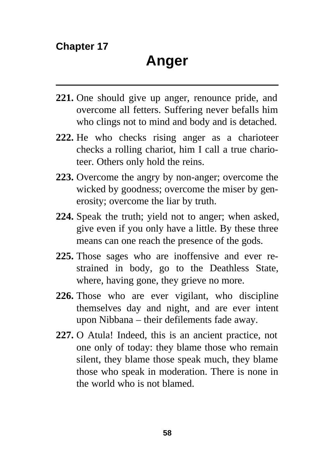- **221.** One should give up anger, renounce pride, and overcome all fetters. Suffering never befalls him who clings not to mind and body and is detached.
- **222.** He who checks rising anger as a charioteer checks a rolling chariot, him I call a true charioteer. Others only hold the reins.
- **223.** Overcome the angry by non-anger; overcome the wicked by goodness; overcome the miser by generosity; overcome the liar by truth.
- **224.** Speak the truth; yield not to anger; when asked, give even if you only have a little. By these three means can one reach the presence of the gods.
- **225.** Those sages who are inoffensive and ever restrained in body, go to the Deathless State, where, having gone, they grieve no more.
- **226.** Those who are ever vigilant, who discipline themselves day and night, and are ever intent upon Nibbana – their defilements fade away.
- **227.** O Atula! Indeed, this is an ancient practice, not one only of today: they blame those who remain silent, they blame those speak much, they blame those who speak in moderation. There is none in the world who is not blamed.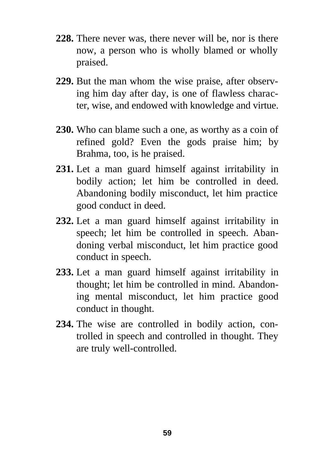- **228.** There never was, there never will be, nor is there now, a person who is wholly blamed or wholly praised.
- **229.** But the man whom the wise praise, after observing him day after day, is one of flawless character, wise, and endowed with knowledge and virtue.
- **230.** Who can blame such a one, as worthy as a coin of refined gold? Even the gods praise him; by Brahma, too, is he praised.
- **231.** Let a man guard himself against irritability in bodily action; let him be controlled in deed. Abandoning bodily misconduct, let him practice good conduct in deed.
- **232.** Let a man guard himself against irritability in speech; let him be controlled in speech. Abandoning verbal misconduct, let him practice good conduct in speech.
- **233.** Let a man guard himself against irritability in thought; let him be controlled in mind. Abandoning mental misconduct, let him practice good conduct in thought.
- **234.** The wise are controlled in bodily action, controlled in speech and controlled in thought. They are truly well-controlled.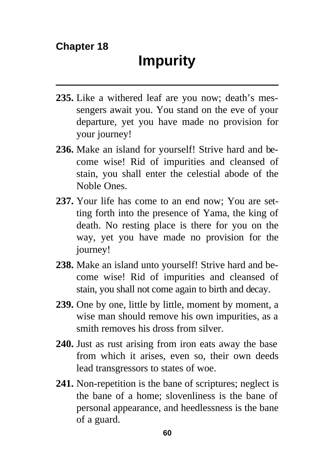- **235.** Like a withered leaf are you now; death's messengers await you. You stand on the eve of your departure, yet you have made no provision for your journey!
- **236.** Make an island for yourself! Strive hard and become wise! Rid of impurities and cleansed of stain, you shall enter the celestial abode of the Noble Ones.
- **237.** Your life has come to an end now; You are setting forth into the presence of Yama, the king of death. No resting place is there for you on the way, yet you have made no provision for the journey!
- **238.** Make an island unto yourself! Strive hard and become wise! Rid of impurities and cleansed of stain, you shall not come again to birth and decay.
- **239.** One by one, little by little, moment by moment, a wise man should remove his own impurities, as a smith removes his dross from silver.
- **240.** Just as rust arising from iron eats away the base from which it arises, even so, their own deeds lead transgressors to states of woe.
- **241.** Non-repetition is the bane of scriptures; neglect is the bane of a home; slovenliness is the bane of personal appearance, and heedlessness is the bane of a guard.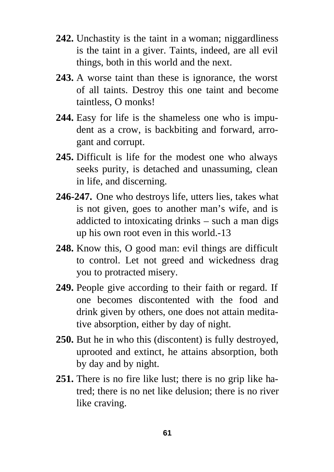- **242.** Unchastity is the taint in a woman; niggardliness is the taint in a giver. Taints, indeed, are all evil things, both in this world and the next.
- **243.** A worse taint than these is ignorance, the worst of all taints. Destroy this one taint and become taintless, O monks!
- **244.** Easy for life is the shameless one who is impudent as a crow, is backbiting and forward, arrogant and corrupt.
- **245.** Difficult is life for the modest one who always seeks purity, is detached and unassuming, clean in life, and discerning.
- **246-247.** One who destroys life, utters lies, takes what is not given, goes to another man's wife, and is addicted to intoxicating drinks – such a man digs up his own root even in this world.-13
- **248.** Know this, O good man: evil things are difficult to control. Let not greed and wickedness drag you to protracted misery.
- **249.** People give according to their faith or regard. If one becomes discontented with the food and drink given by others, one does not attain meditative absorption, either by day of night.
- **250.** But he in who this (discontent) is fully destroyed, uprooted and extinct, he attains absorption, both by day and by night.
- **251.** There is no fire like lust; there is no grip like hatred; there is no net like delusion; there is no river like craving.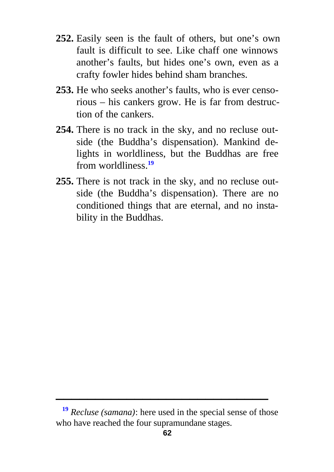- **252.** Easily seen is the fault of others, but one's own fault is difficult to see. Like chaff one winnows another's faults, but hides one's own, even as a crafty fowler hides behind sham branches.
- **253.** He who seeks another's faults, who is ever censorious – his cankers grow. He is far from destruction of the cankers.
- **254.** There is no track in the sky, and no recluse outside (the Buddha's dispensation). Mankind delights in worldliness, but the Buddhas are free from worldliness.**<sup>19</sup>**
- **255.** There is not track in the sky, and no recluse outside (the Buddha's dispensation). There are no conditioned things that are eternal, and no instability in the Buddhas.

**<sup>19</sup>** *Recluse (samana)*: here used in the special sense of those who have reached the four supramundane stages.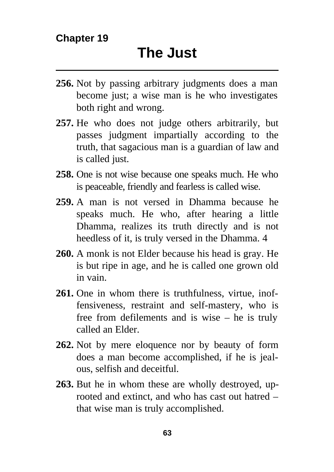- **256.** Not by passing arbitrary judgments does a man become just; a wise man is he who investigates both right and wrong.
- **257.** He who does not judge others arbitrarily, but passes judgment impartially according to the truth, that sagacious man is a guardian of law and is called just.
- **258.** One is not wise because one speaks much. He who is peaceable, friendly and fearless is called wise.
- **259.** A man is not versed in Dhamma because he speaks much. He who, after hearing a little Dhamma, realizes its truth directly and is not heedless of it, is truly versed in the Dhamma. 4
- **260.** A monk is not Elder because his head is gray. He is but ripe in age, and he is called one grown old in vain.
- **261.** One in whom there is truthfulness, virtue, inoffensiveness, restraint and self-mastery, who is free from defilements and is wise – he is truly called an Elder.
- **262.** Not by mere eloquence nor by beauty of form does a man become accomplished, if he is jealous, selfish and deceitful.
- **263.** But he in whom these are wholly destroyed, uprooted and extinct, and who has cast out hatred – that wise man is truly accomplished.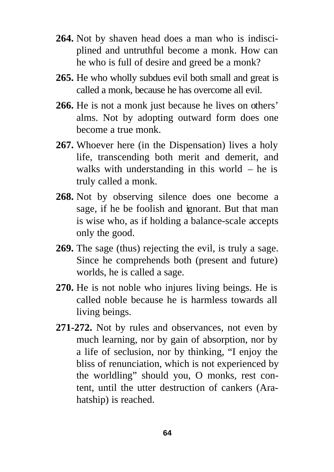- **264.** Not by shaven head does a man who is indisciplined and untruthful become a monk. How can he who is full of desire and greed be a monk?
- **265.** He who wholly subdues evil both small and great is called a monk, because he has overcome all evil.
- **266.** He is not a monk just because he lives on others' alms. Not by adopting outward form does one become a true monk.
- **267.** Whoever here (in the Dispensation) lives a holy life, transcending both merit and demerit, and walks with understanding in this world  $-$  he is truly called a monk.
- **268.** Not by observing silence does one become a sage, if he be foolish and ignorant. But that man is wise who, as if holding a balance-scale accepts only the good.
- **269.** The sage (thus) rejecting the evil, is truly a sage. Since he comprehends both (present and future) worlds, he is called a sage.
- **270.** He is not noble who injures living beings. He is called noble because he is harmless towards all living beings.
- **271-272.** Not by rules and observances, not even by much learning, nor by gain of absorption, nor by a life of seclusion, nor by thinking, "I enjoy the bliss of renunciation, which is not experienced by the worldling" should you, O monks, rest content, until the utter destruction of cankers (Arahatship) is reached.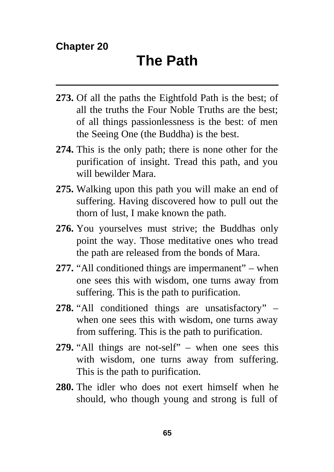- **273.** Of all the paths the Eightfold Path is the best; of all the truths the Four Noble Truths are the best; of all things passionlessness is the best: of men the Seeing One (the Buddha) is the best.
- **274.** This is the only path; there is none other for the purification of insight. Tread this path, and you will bewilder Mara.
- **275.** Walking upon this path you will make an end of suffering. Having discovered how to pull out the thorn of lust, I make known the path.
- **276.** You yourselves must strive; the Buddhas only point the way. Those meditative ones who tread the path are released from the bonds of Mara.
- **277.** "All conditioned things are impermanent" when one sees this with wisdom, one turns away from suffering. This is the path to purification.
- **278.** "All conditioned things are unsatisfactory" when one sees this with wisdom, one turns away from suffering. This is the path to purification.
- **279.** "All things are not-self" when one sees this with wisdom, one turns away from suffering. This is the path to purification.
- **280.** The idler who does not exert himself when he should, who though young and strong is full of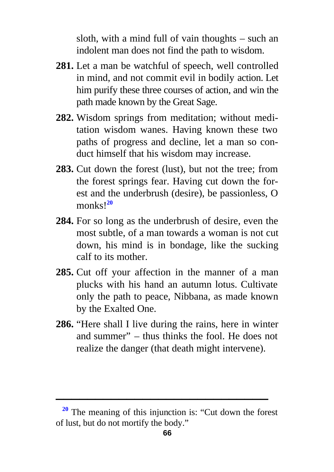sloth, with a mind full of vain thoughts – such an indolent man does not find the path to wisdom.

- **281.** Let a man be watchful of speech, well controlled in mind, and not commit evil in bodily action. Let him purify these three courses of action, and win the path made known by the Great Sage.
- **282.** Wisdom springs from meditation; without meditation wisdom wanes. Having known these two paths of progress and decline, let a man so conduct himself that his wisdom may increase.
- **283.** Cut down the forest (lust), but not the tree; from the forest springs fear. Having cut down the forest and the underbrush (desire), be passionless, O monks!**<sup>20</sup>**
- **284.** For so long as the underbrush of desire, even the most subtle, of a man towards a woman is not cut down, his mind is in bondage, like the sucking calf to its mother.
- **285.** Cut off your affection in the manner of a man plucks with his hand an autumn lotus. Cultivate only the path to peace, Nibbana, as made known by the Exalted One.
- **286.** "Here shall I live during the rains, here in winter and summer" – thus thinks the fool. He does not realize the danger (that death might intervene).

**<sup>20</sup>** The meaning of this injunction is: "Cut down the forest of lust, but do not mortify the body."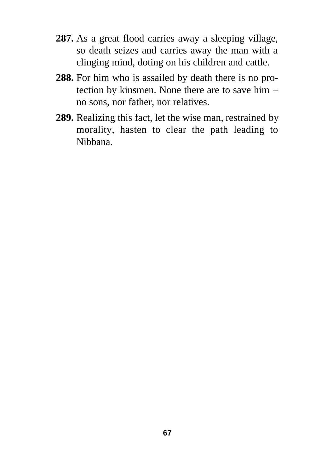- **287.** As a great flood carries away a sleeping village, so death seizes and carries away the man with a clinging mind, doting on his children and cattle.
- **288.** For him who is assailed by death there is no protection by kinsmen. None there are to save him – no sons, nor father, nor relatives.
- **289.** Realizing this fact, let the wise man, restrained by morality, hasten to clear the path leading to Nibbana.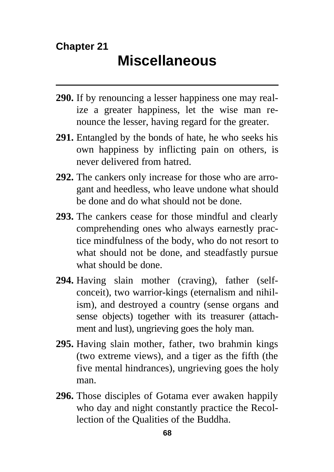#### **Chapter 21**

- **290.** If by renouncing a lesser happiness one may realize a greater happiness, let the wise man renounce the lesser, having regard for the greater.
- **291.** Entangled by the bonds of hate, he who seeks his own happiness by inflicting pain on others, is never delivered from hatred.
- **292.** The cankers only increase for those who are arrogant and heedless, who leave undone what should be done and do what should not be done.
- **293.** The cankers cease for those mindful and clearly comprehending ones who always earnestly practice mindfulness of the body, who do not resort to what should not be done, and steadfastly pursue what should be done.
- **294.** Having slain mother (craving), father (selfconceit), two warrior-kings (eternalism and nihilism), and destroyed a country (sense organs and sense objects) together with its treasurer (attachment and lust), ungrieving goes the holy man.
- **295.** Having slain mother, father, two brahmin kings (two extreme views), and a tiger as the fifth (the five mental hindrances), ungrieving goes the holy man.
- **296.** Those disciples of Gotama ever awaken happily who day and night constantly practice the Recollection of the Qualities of the Buddha.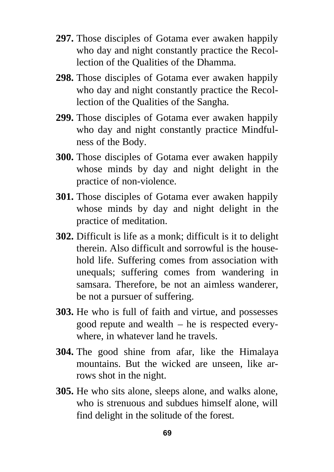- **297.** Those disciples of Gotama ever awaken happily who day and night constantly practice the Recollection of the Qualities of the Dhamma.
- **298.** Those disciples of Gotama ever awaken happily who day and night constantly practice the Recollection of the Qualities of the Sangha.
- **299.** Those disciples of Gotama ever awaken happily who day and night constantly practice Mindfulness of the Body.
- **300.** Those disciples of Gotama ever awaken happily whose minds by day and night delight in the practice of non-violence.
- **301.** Those disciples of Gotama ever awaken happily whose minds by day and night delight in the practice of meditation.
- **302.** Difficult is life as a monk; difficult is it to delight therein. Also difficult and sorrowful is the household life. Suffering comes from association with unequals; suffering comes from wandering in samsara. Therefore, be not an aimless wanderer, be not a pursuer of suffering.
- **303.** He who is full of faith and virtue, and possesses good repute and wealth – he is respected everywhere, in whatever land he travels.
- **304.** The good shine from afar, like the Himalaya mountains. But the wicked are unseen, like arrows shot in the night.
- **305.** He who sits alone, sleeps alone, and walks alone, who is strenuous and subdues himself alone, will find delight in the solitude of the forest.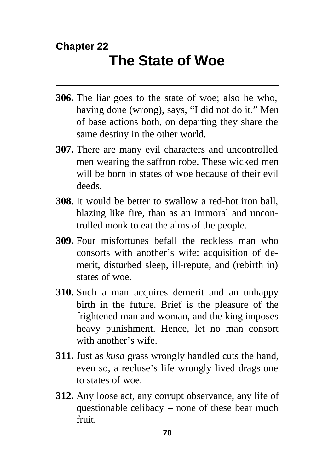### **Chapter 22 The State of Woe**

- **306.** The liar goes to the state of woe; also he who, having done (wrong), says, "I did not do it." Men of base actions both, on departing they share the same destiny in the other world.
- **307.** There are many evil characters and uncontrolled men wearing the saffron robe. These wicked men will be born in states of woe because of their evil deeds.
- **308.** It would be better to swallow a red-hot iron ball, blazing like fire, than as an immoral and uncontrolled monk to eat the alms of the people.
- **309.** Four misfortunes befall the reckless man who consorts with another's wife: acquisition of demerit, disturbed sleep, ill-repute, and (rebirth in) states of woe.
- **310.** Such a man acquires demerit and an unhappy birth in the future. Brief is the pleasure of the frightened man and woman, and the king imposes heavy punishment. Hence, let no man consort with another's wife.
- **311.** Just as *kusa* grass wrongly handled cuts the hand, even so, a recluse's life wrongly lived drags one to states of woe.
- **312.** Any loose act, any corrupt observance, any life of questionable celibacy – none of these bear much fruit.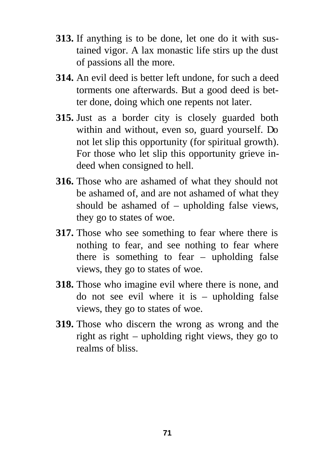- **313.** If anything is to be done, let one do it with sustained vigor. A lax monastic life stirs up the dust of passions all the more.
- **314.** An evil deed is better left undone, for such a deed torments one afterwards. But a good deed is better done, doing which one repents not later.
- **315.** Just as a border city is closely guarded both within and without, even so, guard yourself. Do not let slip this opportunity (for spiritual growth). For those who let slip this opportunity grieve indeed when consigned to hell.
- **316.** Those who are ashamed of what they should not be ashamed of, and are not ashamed of what they should be ashamed of – upholding false views, they go to states of woe.
- **317.** Those who see something to fear where there is nothing to fear, and see nothing to fear where there is something to fear  $-$  upholding false views, they go to states of woe.
- **318.** Those who imagine evil where there is none, and do not see evil where it is – upholding false views, they go to states of woe.
- **319.** Those who discern the wrong as wrong and the right as right – upholding right views, they go to realms of bliss.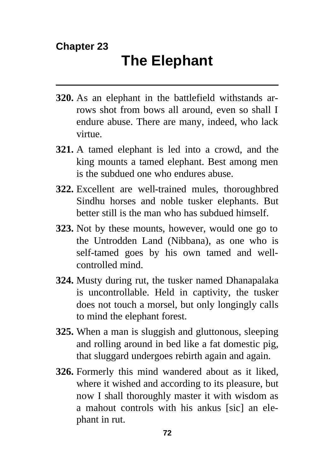## **Chapter 23**

- **320.** As an elephant in the battlefield withstands arrows shot from bows all around, even so shall I endure abuse. There are many, indeed, who lack virtue.
- **321.** A tamed elephant is led into a crowd, and the king mounts a tamed elephant. Best among men is the subdued one who endures abuse.
- **322.** Excellent are well-trained mules, thoroughbred Sindhu horses and noble tusker elephants. But better still is the man who has subdued himself.
- **323.** Not by these mounts, however, would one go to the Untrodden Land (Nibbana), as one who is self-tamed goes by his own tamed and wellcontrolled mind.
- **324.** Musty during rut, the tusker named Dhanapalaka is uncontrollable. Held in captivity, the tusker does not touch a morsel, but only longingly calls to mind the elephant forest.
- **325.** When a man is sluggish and gluttonous, sleeping and rolling around in bed like a fat domestic pig, that sluggard undergoes rebirth again and again.
- **326.** Formerly this mind wandered about as it liked, where it wished and according to its pleasure, but now I shall thoroughly master it with wisdom as a mahout controls with his ankus [sic] an elephant in rut.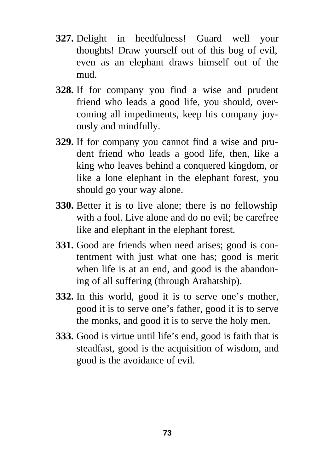- **327.** Delight in heedfulness! Guard well your thoughts! Draw yourself out of this bog of evil, even as an elephant draws himself out of the mud.
- **328.** If for company you find a wise and prudent friend who leads a good life, you should, overcoming all impediments, keep his company joyously and mindfully.
- **329.** If for company you cannot find a wise and prudent friend who leads a good life, then, like a king who leaves behind a conquered kingdom, or like a lone elephant in the elephant forest, you should go your way alone.
- **330.** Better it is to live alone; there is no fellowship with a fool. Live alone and do no evil; be carefree like and elephant in the elephant forest.
- **331.** Good are friends when need arises; good is contentment with just what one has; good is merit when life is at an end, and good is the abandoning of all suffering (through Arahatship).
- **332.** In this world, good it is to serve one's mother, good it is to serve one's father, good it is to serve the monks, and good it is to serve the holy men.
- **333.** Good is virtue until life's end, good is faith that is steadfast, good is the acquisition of wisdom, and good is the avoidance of evil.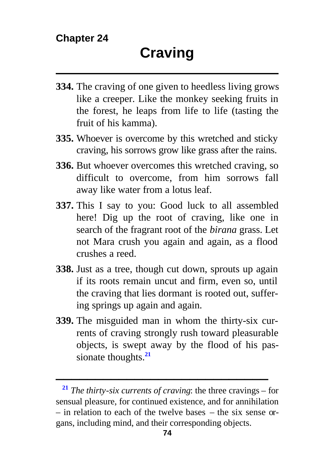- **334.** The craving of one given to heedless living grows like a creeper. Like the monkey seeking fruits in the forest, he leaps from life to life (tasting the fruit of his kamma).
- **335.** Whoever is overcome by this wretched and sticky craving, his sorrows grow like grass after the rains.
- **336.** But whoever overcomes this wretched craving, so difficult to overcome, from him sorrows fall away like water from a lotus leaf.
- **337.** This I say to you: Good luck to all assembled here! Dig up the root of craving, like one in search of the fragrant root of the *birana* grass. Let not Mara crush you again and again, as a flood crushes a reed.
- **338.** Just as a tree, though cut down, sprouts up again if its roots remain uncut and firm, even so, until the craving that lies dormant is rooted out, suffering springs up again and again.
- **339.** The misguided man in whom the thirty-six currents of craving strongly rush toward pleasurable objects, is swept away by the flood of his passionate thoughts.**<sup>21</sup>**

**<sup>21</sup>** *The thirty-six currents of craving*: the three cravings – for sensual pleasure, for continued existence, and for annihilation – in relation to each of the twelve bases – the six sense organs, including mind, and their corresponding objects.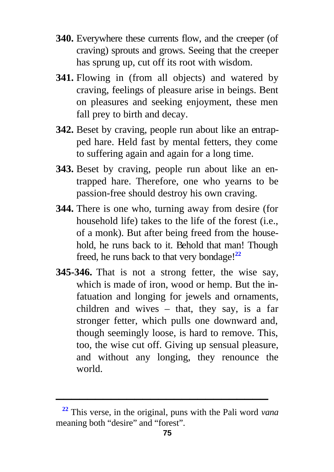- **340.** Everywhere these currents flow, and the creeper (of craving) sprouts and grows. Seeing that the creeper has sprung up, cut off its root with wisdom.
- **341.** Flowing in (from all objects) and watered by craving, feelings of pleasure arise in beings. Bent on pleasures and seeking enjoyment, these men fall prey to birth and decay.
- **342.** Beset by craving, people run about like an entrapped hare. Held fast by mental fetters, they come to suffering again and again for a long time.
- **343.** Beset by craving, people run about like an entrapped hare. Therefore, one who yearns to be passion-free should destroy his own craving.
- **344.** There is one who, turning away from desire (for household life) takes to the life of the forest (i.e., of a monk). But after being freed from the household, he runs back to it. Behold that man! Though freed, he runs back to that very bondage!**<sup>22</sup>**
- **345-346.** That is not a strong fetter, the wise say, which is made of iron, wood or hemp. But the infatuation and longing for jewels and ornaments, children and wives – that, they say, is a far stronger fetter, which pulls one downward and, though seemingly loose, is hard to remove. This, too, the wise cut off. Giving up sensual pleasure, and without any longing, they renounce the world.

**<sup>22</sup>** This verse, in the original, puns with the Pali word *vana* meaning both "desire" and "forest".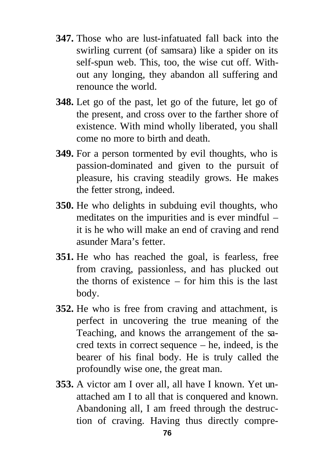- **347.** Those who are lust-infatuated fall back into the swirling current (of samsara) like a spider on its self-spun web. This, too, the wise cut off. Without any longing, they abandon all suffering and renounce the world.
- **348.** Let go of the past, let go of the future, let go of the present, and cross over to the farther shore of existence. With mind wholly liberated, you shall come no more to birth and death.
- **349.** For a person tormented by evil thoughts, who is passion-dominated and given to the pursuit of pleasure, his craving steadily grows. He makes the fetter strong, indeed.
- **350.** He who delights in subduing evil thoughts, who meditates on the impurities and is ever mindful – it is he who will make an end of craving and rend asunder Mara's fetter.
- **351.** He who has reached the goal, is fearless, free from craving, passionless, and has plucked out the thorns of existence – for him this is the last body.
- **352.** He who is free from craving and attachment, is perfect in uncovering the true meaning of the Teaching, and knows the arrangement of the sacred texts in correct sequence – he, indeed, is the bearer of his final body. He is truly called the profoundly wise one, the great man.
- **353.** A victor am I over all, all have I known. Yet unattached am I to all that is conquered and known. Abandoning all, I am freed through the destruction of craving. Having thus directly compre-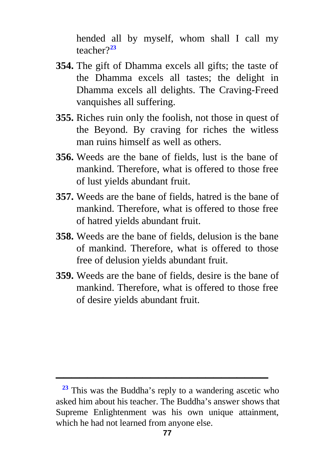hended all by myself, whom shall I call my teacher?**<sup>23</sup>**

- **354.** The gift of Dhamma excels all gifts; the taste of the Dhamma excels all tastes; the delight in Dhamma excels all delights. The Craving-Freed vanquishes all suffering.
- **355.** Riches ruin only the foolish, not those in quest of the Beyond. By craving for riches the witless man ruins himself as well as others.
- **356.** Weeds are the bane of fields, lust is the bane of mankind. Therefore, what is offered to those free of lust yields abundant fruit.
- **357.** Weeds are the bane of fields, hatred is the bane of mankind. Therefore, what is offered to those free of hatred yields abundant fruit.
- **358.** Weeds are the bane of fields, delusion is the bane of mankind. Therefore, what is offered to those free of delusion yields abundant fruit.
- **359.** Weeds are the bane of fields, desire is the bane of mankind. Therefore, what is offered to those free of desire yields abundant fruit.

**<sup>23</sup>** This was the Buddha's reply to a wandering ascetic who asked him about his teacher. The Buddha's answer shows that Supreme Enlightenment was his own unique attainment, which he had not learned from anyone else.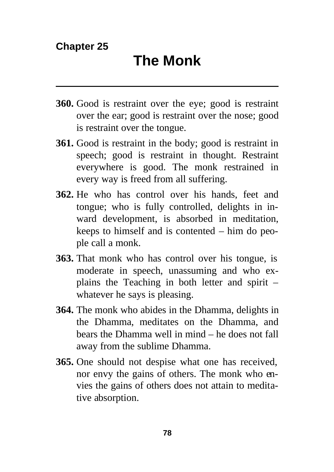- **360.** Good is restraint over the eye; good is restraint over the ear; good is restraint over the nose; good is restraint over the tongue.
- **361.** Good is restraint in the body; good is restraint in speech; good is restraint in thought. Restraint everywhere is good. The monk restrained in every way is freed from all suffering.
- **362.** He who has control over his hands, feet and tongue; who is fully controlled, delights in inward development, is absorbed in meditation, keeps to himself and is contented – him do people call a monk.
- **363.** That monk who has control over his tongue, is moderate in speech, unassuming and who explains the Teaching in both letter and spirit – whatever he says is pleasing.
- **364.** The monk who abides in the Dhamma, delights in the Dhamma, meditates on the Dhamma, and bears the Dhamma well in mind – he does not fall away from the sublime Dhamma.
- **365.** One should not despise what one has received, nor envy the gains of others. The monk who envies the gains of others does not attain to meditative absorption.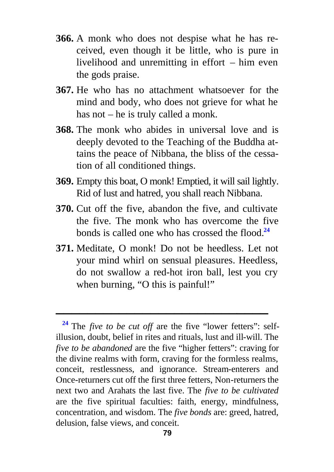- **366.** A monk who does not despise what he has received, even though it be little, who is pure in livelihood and unremitting in effort – him even the gods praise.
- **367.** He who has no attachment whatsoever for the mind and body, who does not grieve for what he has not – he is truly called a monk.
- **368.** The monk who abides in universal love and is deeply devoted to the Teaching of the Buddha attains the peace of Nibbana, the bliss of the cessation of all conditioned things.
- **369.** Empty this boat, O monk! Emptied, it will sail lightly. Rid of lust and hatred, you shall reach Nibbana.
- **370.** Cut off the five, abandon the five, and cultivate the five. The monk who has overcome the five bonds is called one who has crossed the flood. **24**
- **371.** Meditate, O monk! Do not be heedless. Let not your mind whirl on sensual pleasures. Heedless, do not swallow a red-hot iron ball, lest you cry when burning, "O this is painful!"

**<sup>24</sup>** The *five to be cut off* are the five "lower fetters": selfillusion, doubt, belief in rites and rituals, lust and ill-will. The *five to be abandoned* are the five "higher fetters": craving for the divine realms with form, craving for the formless realms, conceit, restlessness, and ignorance. Stream-enterers and Once-returners cut off the first three fetters, Non-returners the next two and Arahats the last five. The *five to be cultivated* are the five spiritual faculties: faith, energy, mindfulness, concentration, and wisdom. The *five bonds* are: greed, hatred, delusion, false views, and conceit.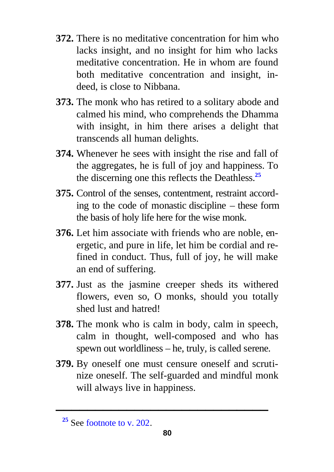- **372.** There is no meditative concentration for him who lacks insight, and no insight for him who lacks meditative concentration. He in whom are found both meditative concentration and insight, indeed, is close to Nibbana.
- **373.** The monk who has retired to a solitary abode and calmed his mind, who comprehends the Dhamma with insight, in him there arises a delight that transcends all human delights.
- **374.** Whenever he sees with insight the rise and fall of the aggregates, he is full of joy and happiness. To the discerning one this reflects the Deathless.**[25](#page-55-0)**
- **375.** Control of the senses, contentment, restraint according to the code of monastic discipline – these form the basis of holy life here for the wise monk.
- **376.** Let him associate with friends who are noble, energetic, and pure in life, let him be cordial and refined in conduct. Thus, full of joy, he will make an end of suffering.
- **377.** Just as the jasmine creeper sheds its withered flowers, even so, O monks, should you totally shed lust and hatred!
- **378.** The monk who is calm in body, calm in speech, calm in thought, well-composed and who has spewn out worldliness – he, truly, is called serene.
- **379.** By oneself one must censure oneself and scrutinize oneself. The self-guarded and mindful monk will always live in happiness.

**<sup>25</sup>** See [footnote to v. 202.](#page-55-0)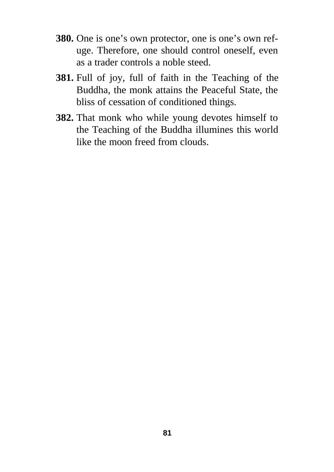- **380.** One is one's own protector, one is one's own refuge. Therefore, one should control oneself, even as a trader controls a noble steed.
- **381.** Full of joy, full of faith in the Teaching of the Buddha, the monk attains the Peaceful State, the bliss of cessation of conditioned things.
- **382.** That monk who while young devotes himself to the Teaching of the Buddha illumines this world like the moon freed from clouds.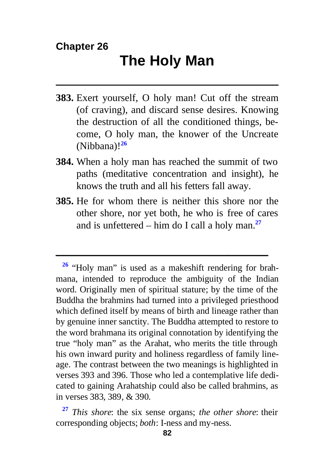- **383.** Exert yourself, O holy man! Cut off the stream (of craving), and discard sense desires. Knowing the destruction of all the conditioned things, become, O holy man, the knower of the Uncreate (Nibbana)!**<sup>26</sup>**
- **384.** When a holy man has reached the summit of two paths (meditative concentration and insight), he knows the truth and all his fetters fall away.
- **385.** He for whom there is neither this shore nor the other shore, nor yet both, he who is free of cares and is unfettered – him do I call a holy man.**<sup>27</sup>**

**<sup>26</sup>** "Holy man" is used as a makeshift rendering for brahmana, intended to reproduce the ambiguity of the Indian word. Originally men of spiritual stature; by the time of the Buddha the brahmins had turned into a privileged priesthood which defined itself by means of birth and lineage rather than by genuine inner sanctity. The Buddha attempted to restore to the word brahmana its original connotation by identifying the true "holy man" as the Arahat, who merits the title through his own inward purity and holiness regardless of family lineage. The contrast between the two meanings is highlighted in verses 393 and 396. Those who led a contemplative life dedicated to gaining Arahatship could also be called brahmins, as in verses 383, 389, & 390.

**<sup>27</sup>** *This shore*: the six sense organs; *the other shore*: their corresponding objects; *both*: I-ness and my-ness.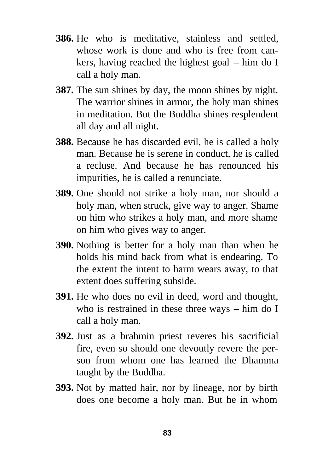- **386.** He who is meditative, stainless and settled, whose work is done and who is free from cankers, having reached the highest goal – him do I call a holy man.
- **387.** The sun shines by day, the moon shines by night. The warrior shines in armor, the holy man shines in meditation. But the Buddha shines resplendent all day and all night.
- **388.** Because he has discarded evil, he is called a holy man. Because he is serene in conduct, he is called a recluse. And because he has renounced his impurities, he is called a renunciate.
- **389.** One should not strike a holy man, nor should a holy man, when struck, give way to anger. Shame on him who strikes a holy man, and more shame on him who gives way to anger.
- **390.** Nothing is better for a holy man than when he holds his mind back from what is endearing. To the extent the intent to harm wears away, to that extent does suffering subside.
- **391.** He who does no evil in deed, word and thought, who is restrained in these three ways – him do I call a holy man.
- **392.** Just as a brahmin priest reveres his sacrificial fire, even so should one devoutly revere the person from whom one has learned the Dhamma taught by the Buddha.
- **393.** Not by matted hair, nor by lineage, nor by birth does one become a holy man. But he in whom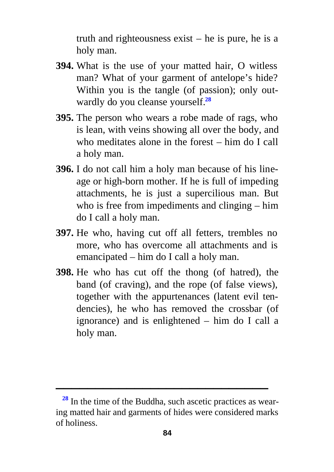truth and righteousness exist – he is pure, he is a holy man.

- **394.** What is the use of your matted hair, O witless man? What of your garment of antelope's hide? Within you is the tangle (of passion); only outwardly do you cleanse yourself.**<sup>28</sup>**
- **395.** The person who wears a robe made of rags, who is lean, with veins showing all over the body, and who meditates alone in the forest – him do I call a holy man.
- **396.** I do not call him a holy man because of his lineage or high-born mother. If he is full of impeding attachments, he is just a supercilious man. But who is free from impediments and clinging – him do I call a holy man.
- **397.** He who, having cut off all fetters, trembles no more, who has overcome all attachments and is emancipated – him do I call a holy man.
- **398.** He who has cut off the thong (of hatred), the band (of craving), and the rope (of false views), together with the appurtenances (latent evil tendencies), he who has removed the crossbar (of ignorance) and is enlightened – him do I call a holy man.

**<sup>28</sup>** In the time of the Buddha, such ascetic practices as wearing matted hair and garments of hides were considered marks of holiness.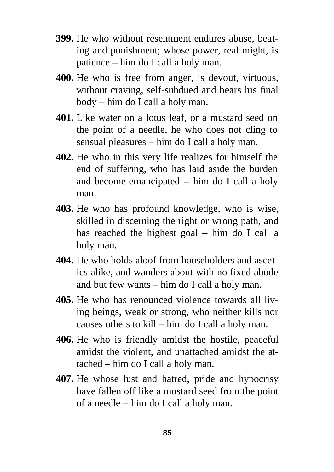- **399.** He who without resentment endures abuse, beating and punishment; whose power, real might, is patience – him do I call a holy man.
- **400.** He who is free from anger, is devout, virtuous, without craving, self-subdued and bears his final body – him do I call a holy man.
- **401.** Like water on a lotus leaf, or a mustard seed on the point of a needle, he who does not cling to sensual pleasures – him do I call a holy man.
- **402.** He who in this very life realizes for himself the end of suffering, who has laid aside the burden and become emancipated – him do I call a holy man.
- **403.** He who has profound knowledge, who is wise, skilled in discerning the right or wrong path, and has reached the highest goal – him do I call a holy man.
- **404.** He who holds aloof from householders and ascetics alike, and wanders about with no fixed abode and but few wants – him do I call a holy man.
- **405.** He who has renounced violence towards all living beings, weak or strong, who neither kills nor causes others to kill – him do I call a holy man.
- **406.** He who is friendly amidst the hostile, peaceful amidst the violent, and unattached amidst the attached – him do I call a holy man.
- **407.** He whose lust and hatred, pride and hypocrisy have fallen off like a mustard seed from the point of a needle – him do I call a holy man.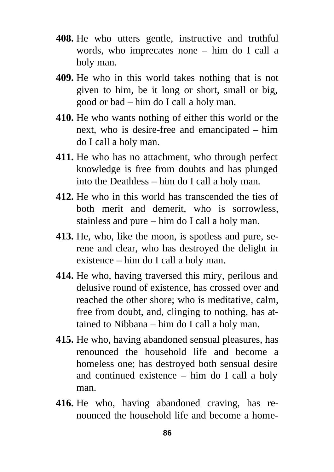- **408.** He who utters gentle, instructive and truthful words, who imprecates none – him do I call a holy man.
- **409.** He who in this world takes nothing that is not given to him, be it long or short, small or big, good or bad – him do I call a holy man.
- **410.** He who wants nothing of either this world or the next, who is desire-free and emancipated – him do I call a holy man.
- **411.** He who has no attachment, who through perfect knowledge is free from doubts and has plunged into the Deathless – him do I call a holy man.
- **412.** He who in this world has transcended the ties of both merit and demerit, who is sorrowless, stainless and pure – him do I call a holy man.
- **413.** He, who, like the moon, is spotless and pure, serene and clear, who has destroyed the delight in existence – him do I call a holy man.
- **414.** He who, having traversed this miry, perilous and delusive round of existence, has crossed over and reached the other shore; who is meditative, calm, free from doubt, and, clinging to nothing, has attained to Nibbana – him do I call a holy man.
- **415.** He who, having abandoned sensual pleasures, has renounced the household life and become a homeless one; has destroyed both sensual desire and continued existence – him do I call a holy man.
- **416.** He who, having abandoned craving, has renounced the household life and become a home-